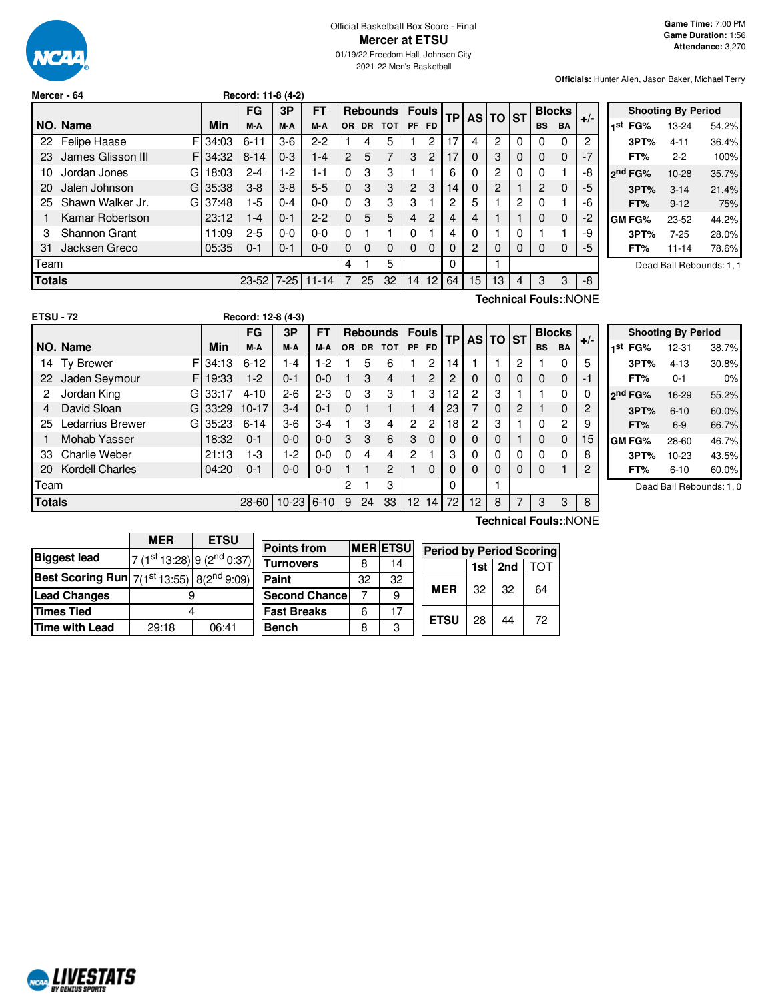

### Official Basketball Box Score - Final **Mercer at ETSU** 01/19/22 Freedom Hall, Johnson City

2021-22 Men's Basketball

**Officials:** Hunter Allen, Jason Baker, Michael Terry

| Mercer - 64 | Record: 11-8 (4-2) |
|-------------|--------------------|
|             |                    |

|               |                        |       | FG        | 3P       | FТ        |     | <b>Fouls</b><br><b>Rebounds</b> |            | <b>TP</b>      |           | AS TO ST |    | <b>Blocks</b> |   |           |             |       |
|---------------|------------------------|-------|-----------|----------|-----------|-----|---------------------------------|------------|----------------|-----------|----------|----|---------------|---|-----------|-------------|-------|
|               | NO. Name               | Min   | M-A       | M-A      | M-A       | OR. | <b>DR</b>                       | <b>TOT</b> | <b>PF</b>      | <b>FD</b> |          |    |               |   | <b>BS</b> | BA          | $+/-$ |
| 22            | F<br>Felipe Haase      | 34:03 | $6 - 11$  | $3-6$    | $2 - 2$   |     | 4                               | 5          |                | 2         | 17       | 4  | 2             | 0 | 0         | 0           | 2     |
| 23            | James Glisson III<br>F | 34:32 | $8 - 14$  | $0 - 3$  | $1 - 4$   | 2   | 5                               | 7          | 3              | 2         | 17       | 0  | 3             | 0 | 0         | $\mathbf 0$ | $-7$  |
| 10            | Jordan Jones<br>G      | 18:03 | $2 - 4$   | 1-2      | 1-1       | 0   | 3                               | 3          |                |           | 6        | 0  | 2             | 0 | 0         | 1           | -8    |
| 20            | Jalen Johnson<br>G     | 35:38 | $3 - 8$   | $3 - 8$  | $5 - 5$   | 0   | 3                               | 3          | $\overline{2}$ | 3         | 14       | 0  | 2             |   | 2         | 0           | -5    |
| 25            | Shawn Walker Jr.<br>G  | 37:48 | $1-5$     | $0 - 4$  | $0 - 0$   | 0   | 3                               | 3          | 3              |           | 2        | 5  |               | 2 | 0         | 1           | -6    |
|               | Kamar Robertson        | 23:12 | 1-4       | $0 - 1$  | $2-2$     | 0   | 5                               | 5          | 4              | 2         | 4        | 4  |               |   | 0         | $\mathbf 0$ | $-2$  |
| 3             | <b>Shannon Grant</b>   | 11:09 | $2 - 5$   | $0 - 0$  | $0 - 0$   | 0   |                                 |            | 0              |           | 4        | 0  |               | 0 |           | 1           | -9    |
| 31            | Jacksen Greco          | 05:35 | $0 - 1$   | $0 - 1$  | $0 - 0$   | 0   | 0                               | 0          | 0              | $\Omega$  | $\Omega$ | 2  | 0             | 0 | 0         | 0           | -5    |
| Team          |                        |       |           |          |           | 4   |                                 | 5          |                |           | 0        |    |               |   |           |             |       |
| <b>Totals</b> |                        |       | $23 - 52$ | $7 - 25$ | $11 - 14$ |     | 25                              | 32         | 14             | 12        | 64       | 15 | 13            | 4 | 3         | 3           | -8    |

|     |         | <b>Shooting By Period</b> |       |
|-----|---------|---------------------------|-------|
| 1st | FG%     | 13-24                     | 54.2% |
|     | 3PT%    | 4-11                      | 36.4% |
|     | FT%     | $2-2$                     | 100%  |
|     | 2nd FG% | 10-28                     | 35.7% |
|     | 3PT%    | $3 - 14$                  | 21.4% |
|     | FT%     | $9 - 12$                  | 75%   |
|     | GM FG%  | 23-52                     | 44.2% |
|     | 3PT%    | $7 - 25$                  | 28.0% |
|     | FT%     | 11-14                     | 78.6% |

Dead Ball Rebounds: 1, 1

| <b>ETSU - 72</b> |                        |         | Record: 12-8 (4-3) |           |          |          |                         |            |                 |                 |           |                |           |           |               |                |       |
|------------------|------------------------|---------|--------------------|-----------|----------|----------|-------------------------|------------|-----------------|-----------------|-----------|----------------|-----------|-----------|---------------|----------------|-------|
|                  |                        |         | FG                 | 3P        | FТ       |          | <b>Rebounds</b>         |            | <b>Fouls</b>    |                 | <b>TP</b> | <b>AS</b>      | <b>TO</b> | <b>ST</b> | <b>Blocks</b> |                |       |
|                  | NO. Name               | Min     | M-A                | M-A       | M-A      | OR.      | <b>DR</b>               | <b>TOT</b> | <b>PF</b>       | <b>FD</b>       |           |                |           |           | <b>BS</b>     | <b>BA</b>      | $+/-$ |
| 14               | F<br>Ty Brewer         | 34:13   | $6 - 12$           | $1 - 4$   | $1-2$    |          | 5                       | 6          |                 | 2               | 14        |                |           | 2         |               | 0              | 5     |
| 22               | Jaden Seymour<br>F.    | 19:33   | $1-2$              | $0 - 1$   | $0 - 0$  |          | 3                       | 4          |                 | 2               | 2         | 0              | 0         | 0         | $\Omega$      | 0              | -1    |
| 2                | Jordan King<br>G       | 33:17   | $4 - 10$           | $2-6$     | $2 - 3$  | $\Omega$ | 3                       | 3          |                 | 3               | 12        | 2              | 3         |           |               | 0              | 0     |
| 4                | David Sloan            | G133:29 | $10 - 17$          | $3-4$     | $0 - 1$  | $\Omega$ |                         |            |                 | 4               | 23        | $\overline{7}$ | 0         | 2         |               | 0              | 2     |
| 25               | Ledarrius Brewer<br>G. | 35:23   | $6 - 14$           | $3-6$     | $3-4$    |          | 3                       | 4          | 2               | 2               | 18        | 2              | 3         |           |               | $\overline{c}$ | 9     |
|                  | Mohab Yasser           | 18:32   | $0 - 1$            | $0 - 0$   | $0 - 0$  | 3        | 3                       | 6          | 3               | $\Omega$        | $\Omega$  | 0              | 0         |           | $\Omega$      | 0              | 15    |
| 33               | <b>Charlie Weber</b>   | 21:13   | $1-3$              | $1-2$     | $0-0$    | $\Omega$ | $\overline{\mathbf{4}}$ | 4          | 2               |                 | 3         | 0              | 0         | 0         | 0             | 0              | 8     |
| 20               | <b>Kordell Charles</b> | 04:20   | $0 - 1$            | $0 - 0$   | $0 - 0$  |          |                         | 2          |                 | $\Omega$        | $\Omega$  | $\Omega$       | 0         | 0         | 0             |                | 2     |
| Team             |                        |         |                    |           |          | 2        |                         | 3          |                 |                 | $\Omega$  |                |           |           |               |                |       |
| <b>Totals</b>    |                        |         | 28-60              | $10 - 23$ | $6 - 10$ | 9        | 24                      | 33         | 12 <sup>2</sup> | 14 <sub>1</sub> | 72        | 12             | 8         | 7         | 3             | 3              | 8     |

| <b>Shooting By Period</b> |                     |          |       |  |  |  |  |  |  |  |  |  |  |
|---------------------------|---------------------|----------|-------|--|--|--|--|--|--|--|--|--|--|
| 1St                       | FG%                 | 12-31    | 38.7% |  |  |  |  |  |  |  |  |  |  |
|                           | 3PT%                | $4 - 13$ | 30.8% |  |  |  |  |  |  |  |  |  |  |
|                           | FT%                 | $0 - 1$  | 0%    |  |  |  |  |  |  |  |  |  |  |
|                           | 2 <sup>nd</sup> FG% | 16-29    | 55.2% |  |  |  |  |  |  |  |  |  |  |
|                           | 3PT%                | $6 - 10$ | 60.0% |  |  |  |  |  |  |  |  |  |  |
|                           | FT%                 | $6-9$    | 66.7% |  |  |  |  |  |  |  |  |  |  |
|                           | GM FG%              | 28-60    | 46.7% |  |  |  |  |  |  |  |  |  |  |
|                           | 3PT%                | 10-23    | 43.5% |  |  |  |  |  |  |  |  |  |  |
|                           | FT%                 | $6 - 10$ | 60.0% |  |  |  |  |  |  |  |  |  |  |
|                           |                     |          |       |  |  |  |  |  |  |  |  |  |  |

Dead Ball Rebounds: 1, 0

|                       | <b>ETSU</b><br><b>MFR</b>                                        |       |  |  |  |  |  |
|-----------------------|------------------------------------------------------------------|-------|--|--|--|--|--|
| <b>Biggest lead</b>   | $7(1st 13:28)$ 9 (2 <sup>nd</sup> 0:37)                          |       |  |  |  |  |  |
|                       | <b>Best Scoring Run</b> $7(1^{st}13:55)$ 8(2 <sup>nd</sup> 9:09) |       |  |  |  |  |  |
| <b>Lead Changes</b>   |                                                                  |       |  |  |  |  |  |
| <b>Times Tied</b>     |                                                                  |       |  |  |  |  |  |
| <b>Time with Lead</b> | 29:18                                                            | 06:41 |  |  |  |  |  |

| <b>Points from</b>    |    | <b>MER ETSU</b> | <b>Period by Period Scoring</b> |             |     |     |    |  |  |
|-----------------------|----|-----------------|---------------------------------|-------------|-----|-----|----|--|--|
| <b>Turnovers</b>      | 8  | 14              |                                 |             | 1st | TOT |    |  |  |
| Paint                 | 32 | 32              |                                 |             |     |     |    |  |  |
| <b>Second Chancel</b> |    | 9               |                                 | <b>MER</b>  | 32  | 32  | 64 |  |  |
| <b>Fast Breaks</b>    | 6  | 17              |                                 |             | 28  | 44  | 72 |  |  |
| <b>Bench</b>          | 8  | з               |                                 | <b>ETSU</b> |     |     |    |  |  |

**Technical Fouls:**:NONE

**Technical Fouls:**:NONE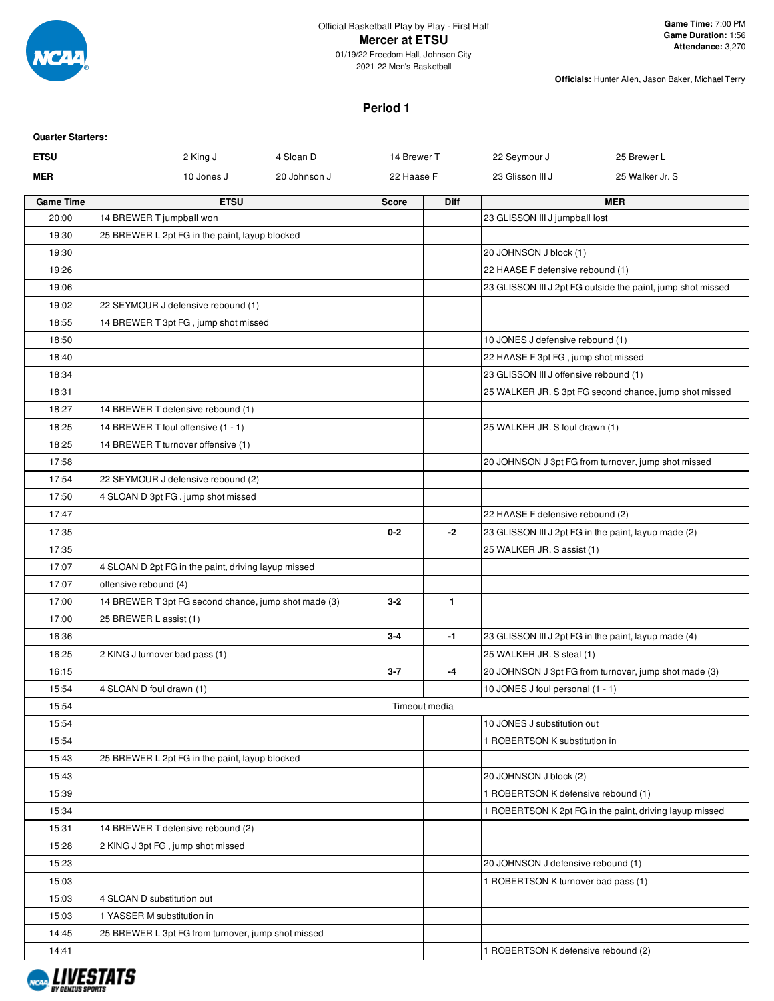

2021-22 Men's Basketball

**Officials:** Hunter Allen, Jason Baker, Michael Terry

### **Period 1**

| <b>Quarter Starters:</b> |                                                      |              |               |              |                                        |                                                             |
|--------------------------|------------------------------------------------------|--------------|---------------|--------------|----------------------------------------|-------------------------------------------------------------|
| <b>ETSU</b>              | 2 King J                                             | 4 Sloan D    | 14 Brewer T   |              | 22 Seymour J                           | 25 Brewer L                                                 |
| <b>MER</b>               | 10 Jones J                                           | 20 Johnson J | 22 Haase F    |              | 23 Glisson III J                       | 25 Walker Jr. S                                             |
| <b>Game Time</b>         | <b>ETSU</b>                                          |              | <b>Score</b>  | <b>Diff</b>  |                                        | <b>MER</b>                                                  |
| 20:00                    | 14 BREWER T jumpball won                             |              |               |              | 23 GLISSON III J jumpball lost         |                                                             |
| 19:30                    | 25 BREWER L 2pt FG in the paint, layup blocked       |              |               |              |                                        |                                                             |
| 19:30                    |                                                      |              |               |              | 20 JOHNSON J block (1)                 |                                                             |
| 19:26                    |                                                      |              |               |              | 22 HAASE F defensive rebound (1)       |                                                             |
| 19:06                    |                                                      |              |               |              |                                        | 23 GLISSON III J 2pt FG outside the paint, jump shot missed |
| 19:02                    | 22 SEYMOUR J defensive rebound (1)                   |              |               |              |                                        |                                                             |
| 18:55                    | 14 BREWER T 3pt FG, jump shot missed                 |              |               |              |                                        |                                                             |
| 18:50                    |                                                      |              |               |              | 10 JONES J defensive rebound (1)       |                                                             |
| 18:40                    |                                                      |              |               |              | 22 HAASE F 3pt FG, jump shot missed    |                                                             |
| 18:34                    |                                                      |              |               |              | 23 GLISSON III J offensive rebound (1) |                                                             |
| 18:31                    |                                                      |              |               |              |                                        | 25 WALKER JR. S 3pt FG second chance, jump shot missed      |
| 18:27                    | 14 BREWER T defensive rebound (1)                    |              |               |              |                                        |                                                             |
| 18:25                    | 14 BREWER T foul offensive (1 - 1)                   |              |               |              | 25 WALKER JR. S foul drawn (1)         |                                                             |
| 18:25                    | 14 BREWER T turnover offensive (1)                   |              |               |              |                                        |                                                             |
| 17:58                    |                                                      |              |               |              |                                        | 20 JOHNSON J 3pt FG from turnover, jump shot missed         |
| 17:54                    | 22 SEYMOUR J defensive rebound (2)                   |              |               |              |                                        |                                                             |
| 17:50                    | 4 SLOAN D 3pt FG, jump shot missed                   |              |               |              |                                        |                                                             |
| 17:47                    |                                                      |              |               |              | 22 HAASE F defensive rebound (2)       |                                                             |
| 17:35                    |                                                      |              | $0 - 2$       | $-2$         |                                        | 23 GLISSON III J 2pt FG in the paint, layup made (2)        |
| 17:35                    |                                                      |              |               |              | 25 WALKER JR. S assist (1)             |                                                             |
| 17:07                    | 4 SLOAN D 2pt FG in the paint, driving layup missed  |              |               |              |                                        |                                                             |
| 17:07                    | offensive rebound (4)                                |              |               |              |                                        |                                                             |
| 17:00                    | 14 BREWER T 3pt FG second chance, jump shot made (3) |              | $3 - 2$       | $\mathbf{1}$ |                                        |                                                             |
| 17:00                    | 25 BREWER L assist (1)                               |              |               |              |                                        |                                                             |
| 16:36                    |                                                      |              | $3 - 4$       | -1           |                                        | 23 GLISSON III J 2pt FG in the paint, layup made (4)        |
| 16:25                    | 2 KING J turnover bad pass (1)                       |              |               |              | 25 WALKER JR. S steal (1)              |                                                             |
| 16:15                    |                                                      |              | $3 - 7$       | -4           |                                        | 20 JOHNSON J 3pt FG from turnover, jump shot made (3)       |
| 15:54                    | 4 SLOAN D foul drawn (1)                             |              |               |              | 10 JONES J foul personal (1 - 1)       |                                                             |
| 15:54                    |                                                      |              | Timeout media |              |                                        |                                                             |
| 15:54                    |                                                      |              |               |              | 10 JONES J substitution out            |                                                             |
| 15:54                    |                                                      |              |               |              | 1 ROBERTSON K substitution in          |                                                             |
| 15:43                    | 25 BREWER L 2pt FG in the paint, layup blocked       |              |               |              |                                        |                                                             |
| 15:43                    |                                                      |              |               |              | 20 JOHNSON J block (2)                 |                                                             |
| 15:39                    |                                                      |              |               |              | 1 ROBERTSON K defensive rebound (1)    |                                                             |
| 15:34                    |                                                      |              |               |              |                                        | 1 ROBERTSON K 2pt FG in the paint, driving layup missed     |
| 15:31                    | 14 BREWER T defensive rebound (2)                    |              |               |              |                                        |                                                             |
| 15:28                    | 2 KING J 3pt FG, jump shot missed                    |              |               |              |                                        |                                                             |
| 15:23                    |                                                      |              |               |              | 20 JOHNSON J defensive rebound (1)     |                                                             |
| 15:03                    |                                                      |              |               |              | 1 ROBERTSON K turnover bad pass (1)    |                                                             |
| 15:03                    | 4 SLOAN D substitution out                           |              |               |              |                                        |                                                             |
| 15:03                    | 1 YASSER M substitution in                           |              |               |              |                                        |                                                             |
| 14:45                    | 25 BREWER L 3pt FG from turnover, jump shot missed   |              |               |              |                                        |                                                             |
| 14:41                    |                                                      |              |               |              | 1 ROBERTSON K defensive rebound (2)    |                                                             |

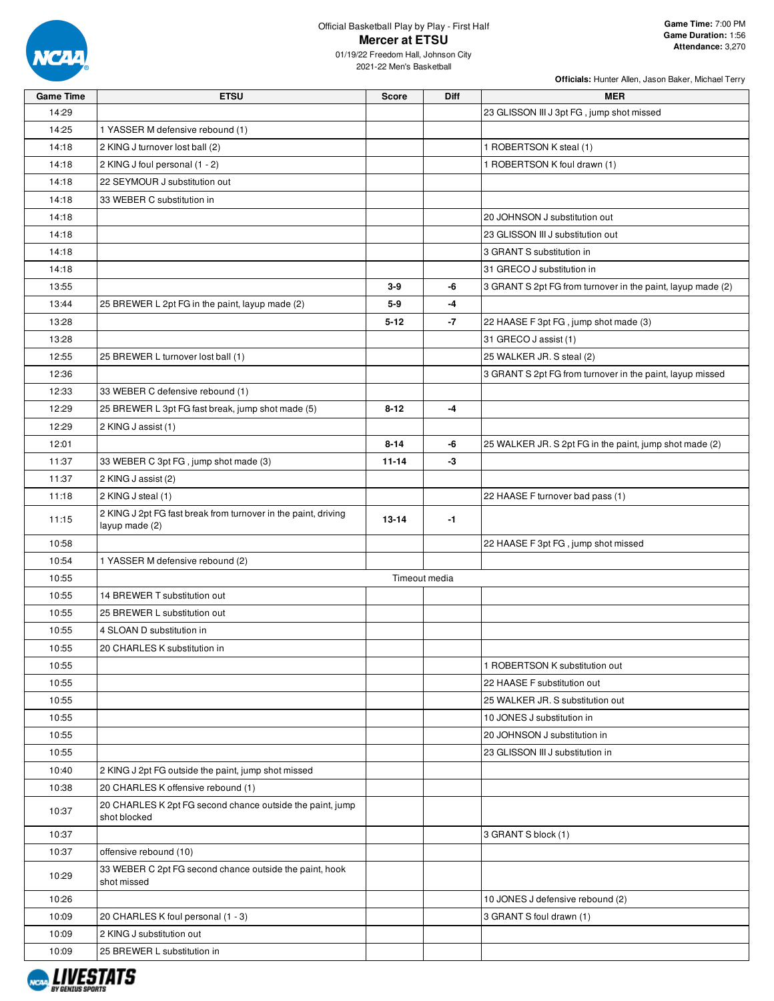

# Official Basketball Play by Play - First Half **Mercer at ETSU**

| <b>Game Time</b> | <b>ETSU</b>                                                                      | <b>Score</b> | <b>Diff</b>   | <b>MER</b>                                                  |
|------------------|----------------------------------------------------------------------------------|--------------|---------------|-------------------------------------------------------------|
| 14:29            |                                                                                  |              |               | 23 GLISSON III J 3pt FG, jump shot missed                   |
| 14:25            | 1 YASSER M defensive rebound (1)                                                 |              |               |                                                             |
| 14:18            | 2 KING J turnover lost ball (2)                                                  |              |               | 1 ROBERTSON K steal (1)                                     |
| 14:18            | 2 KING J foul personal (1 - 2)                                                   |              |               | 1 ROBERTSON K foul drawn (1)                                |
| 14:18            | 22 SEYMOUR J substitution out                                                    |              |               |                                                             |
| 14:18            | 33 WEBER C substitution in                                                       |              |               |                                                             |
| 14:18            |                                                                                  |              |               | 20 JOHNSON J substitution out                               |
| 14:18            |                                                                                  |              |               | 23 GLISSON III J substitution out                           |
| 14:18            |                                                                                  |              |               | 3 GRANT S substitution in                                   |
| 14:18            |                                                                                  |              |               | 31 GRECO J substitution in                                  |
| 13:55            |                                                                                  | $3-9$        | -6            | 3 GRANT S 2pt FG from turnover in the paint, layup made (2) |
| 13:44            | 25 BREWER L 2pt FG in the paint, layup made (2)                                  | $5-9$        | -4            |                                                             |
| 13:28            |                                                                                  | $5 - 12$     | -7            | 22 HAASE F 3pt FG, jump shot made (3)                       |
| 13:28            |                                                                                  |              |               | 31 GRECO J assist (1)                                       |
| 12:55            | 25 BREWER L turnover lost ball (1)                                               |              |               | 25 WALKER JR. S steal (2)                                   |
| 12:36            |                                                                                  |              |               | 3 GRANT S 2pt FG from turnover in the paint, layup missed   |
| 12:33            | 33 WEBER C defensive rebound (1)                                                 |              |               |                                                             |
| 12:29            | 25 BREWER L 3pt FG fast break, jump shot made (5)                                | $8 - 12$     | -4            |                                                             |
| 12:29            | 2 KING J assist (1)                                                              |              |               |                                                             |
| 12:01            |                                                                                  | $8 - 14$     | -6            | 25 WALKER JR. S 2pt FG in the paint, jump shot made (2)     |
| 11:37            | 33 WEBER C 3pt FG, jump shot made (3)                                            | $11 - 14$    | -3            |                                                             |
| 11:37            | 2 KING J assist (2)                                                              |              |               |                                                             |
| 11:18            | 2 KING J steal (1)                                                               |              |               | 22 HAASE F turnover bad pass (1)                            |
| 11:15            | 2 KING J 2pt FG fast break from turnover in the paint, driving<br>layup made (2) | $13 - 14$    | $-1$          |                                                             |
| 10:58            |                                                                                  |              |               | 22 HAASE F 3pt FG, jump shot missed                         |
| 10:54            | 1 YASSER M defensive rebound (2)                                                 |              |               |                                                             |
| 10:55            |                                                                                  |              | Timeout media |                                                             |
| 10:55            | 14 BREWER T substitution out                                                     |              |               |                                                             |
| 10:55            | 25 BREWER L substitution out                                                     |              |               |                                                             |
| 10:55            | 4 SLOAN D substitution in                                                        |              |               |                                                             |
| 10:55            | 20 CHARLES K substitution in                                                     |              |               |                                                             |
| 10:55            |                                                                                  |              |               | 1 ROBERTSON K substitution out                              |
| 10:55            |                                                                                  |              |               | 22 HAASE F substitution out                                 |
| 10:55            |                                                                                  |              |               | 25 WALKER JR. S substitution out                            |
| 10:55            |                                                                                  |              |               | 10 JONES J substitution in                                  |
| 10:55            |                                                                                  |              |               | 20 JOHNSON J substitution in                                |
| 10:55            |                                                                                  |              |               | 23 GLISSON III J substitution in                            |
| 10:40            | 2 KING J 2pt FG outside the paint, jump shot missed                              |              |               |                                                             |
| 10:38            | 20 CHARLES K offensive rebound (1)                                               |              |               |                                                             |
| 10:37            | 20 CHARLES K 2pt FG second chance outside the paint, jump<br>shot blocked        |              |               |                                                             |
| 10:37            |                                                                                  |              |               | 3 GRANT S block (1)                                         |
| 10:37            | offensive rebound (10)                                                           |              |               |                                                             |
| 10:29            | 33 WEBER C 2pt FG second chance outside the paint, hook<br>shot missed           |              |               |                                                             |
| 10:26            |                                                                                  |              |               | 10 JONES J defensive rebound (2)                            |
| 10:09            | 20 CHARLES K foul personal (1 - 3)                                               |              |               | 3 GRANT S foul drawn (1)                                    |
| 10:09            | 2 KING J substitution out                                                        |              |               |                                                             |
| 10:09            | 25 BREWER L substitution in                                                      |              |               |                                                             |
|                  |                                                                                  |              |               |                                                             |

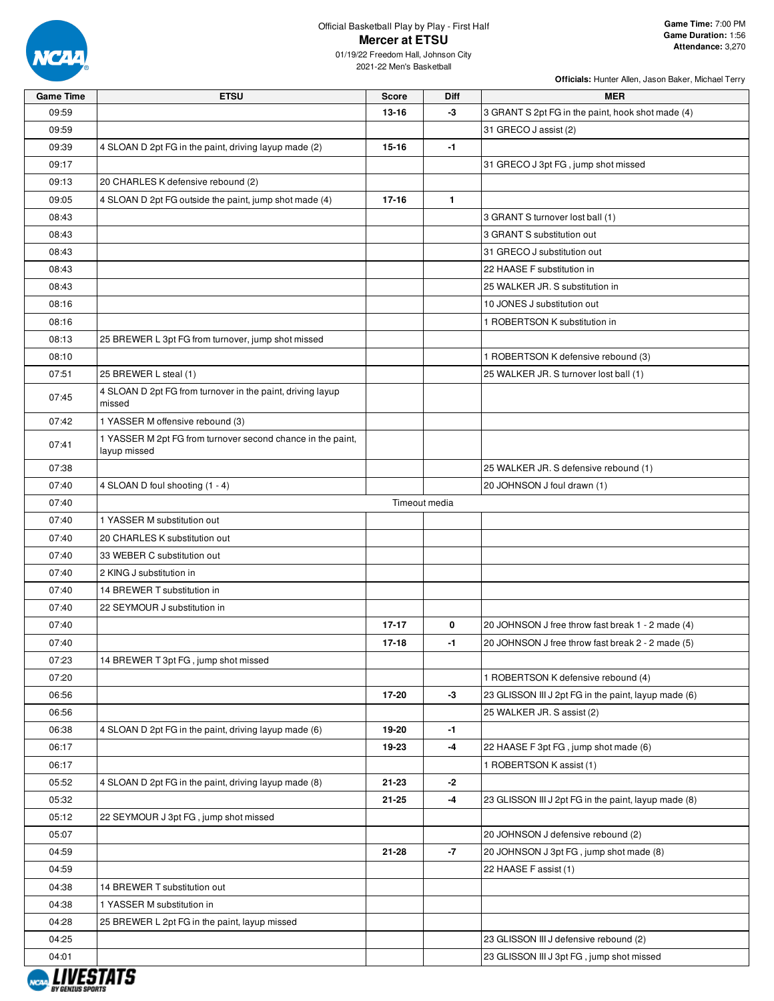

## Official Basketball Play by Play - First Half **Mercer at ETSU**

| <b>Game Time</b> | <b>ETSU</b>                                                                 | <b>Score</b>  | Diff         | <b>MER</b>                                           |
|------------------|-----------------------------------------------------------------------------|---------------|--------------|------------------------------------------------------|
| 09:59            |                                                                             | 13-16         | -3           | 3 GRANT S 2pt FG in the paint, hook shot made (4)    |
| 09:59            |                                                                             |               |              | 31 GRECO J assist (2)                                |
| 09:39            | 4 SLOAN D 2pt FG in the paint, driving layup made (2)                       | 15-16         | $-1$         |                                                      |
| 09:17            |                                                                             |               |              | 31 GRECO J 3pt FG, jump shot missed                  |
| 09:13            | 20 CHARLES K defensive rebound (2)                                          |               |              |                                                      |
| 09:05            | 4 SLOAN D 2pt FG outside the paint, jump shot made (4)                      | $17 - 16$     | $\mathbf{1}$ |                                                      |
| 08:43            |                                                                             |               |              | 3 GRANT S turnover lost ball (1)                     |
| 08:43            |                                                                             |               |              | 3 GRANT S substitution out                           |
| 08:43            |                                                                             |               |              | 31 GRECO J substitution out                          |
| 08:43            |                                                                             |               |              | 22 HAASE F substitution in                           |
| 08:43            |                                                                             |               |              | 25 WALKER JR. S substitution in                      |
| 08:16            |                                                                             |               |              | 10 JONES J substitution out                          |
| 08:16            |                                                                             |               |              | 1 ROBERTSON K substitution in                        |
| 08:13            | 25 BREWER L 3pt FG from turnover, jump shot missed                          |               |              |                                                      |
| 08:10            |                                                                             |               |              | 1 ROBERTSON K defensive rebound (3)                  |
| 07:51            | 25 BREWER L steal (1)                                                       |               |              | 25 WALKER JR. S turnover lost ball (1)               |
| 07:45            | 4 SLOAN D 2pt FG from turnover in the paint, driving layup<br>missed        |               |              |                                                      |
| 07:42            | 1 YASSER M offensive rebound (3)                                            |               |              |                                                      |
| 07:41            | 1 YASSER M 2pt FG from turnover second chance in the paint,<br>layup missed |               |              |                                                      |
| 07:38            |                                                                             |               |              | 25 WALKER JR. S defensive rebound (1)                |
| 07:40            | 4 SLOAN D foul shooting (1 - 4)                                             |               |              | 20 JOHNSON J foul drawn (1)                          |
| 07:40            |                                                                             | Timeout media |              |                                                      |
| 07:40            | 1 YASSER M substitution out                                                 |               |              |                                                      |
| 07:40            | 20 CHARLES K substitution out                                               |               |              |                                                      |
| 07:40            | 33 WEBER C substitution out                                                 |               |              |                                                      |
| 07:40            | 2 KING J substitution in                                                    |               |              |                                                      |
| 07:40            | 14 BREWER T substitution in                                                 |               |              |                                                      |
| 07:40            | 22 SEYMOUR J substitution in                                                |               |              |                                                      |
| 07:40            |                                                                             | $17 - 17$     | 0            | 20 JOHNSON J free throw fast break 1 - 2 made (4)    |
| 07:40            |                                                                             | $17 - 18$     | -1           | 20 JOHNSON J free throw fast break 2 - 2 made (5)    |
| 07:23            | 14 BREWER T 3pt FG, jump shot missed                                        |               |              |                                                      |
| 07:20            |                                                                             |               |              | 1 ROBERTSON K defensive rebound (4)                  |
| 06:56            |                                                                             | 17-20         | -3           | 23 GLISSON III J 2pt FG in the paint, layup made (6) |
| 06:56            |                                                                             |               |              | 25 WALKER JR. S assist (2)                           |
| 06:38            | 4 SLOAN D 2pt FG in the paint, driving layup made (6)                       | 19-20         | -1           |                                                      |
| 06:17            |                                                                             | 19-23         | -4           | 22 HAASE F 3pt FG, jump shot made (6)                |
| 06:17            |                                                                             |               |              | 1 ROBERTSON K assist (1)                             |
| 05:52            | 4 SLOAN D 2pt FG in the paint, driving layup made (8)                       | 21-23         | -2           |                                                      |
| 05:32            |                                                                             | 21-25         | -4           | 23 GLISSON III J 2pt FG in the paint, layup made (8) |
| 05:12            | 22 SEYMOUR J 3pt FG, jump shot missed                                       |               |              |                                                      |
| 05:07            |                                                                             |               |              | 20 JOHNSON J defensive rebound (2)                   |
| 04:59            |                                                                             | 21-28         | $-7$         | 20 JOHNSON J 3pt FG, jump shot made (8)              |
| 04:59            |                                                                             |               |              | 22 HAASE F assist (1)                                |
| 04:38            | 14 BREWER T substitution out                                                |               |              |                                                      |
| 04:38            | 1 YASSER M substitution in                                                  |               |              |                                                      |
| 04:28            | 25 BREWER L 2pt FG in the paint, layup missed                               |               |              |                                                      |
| 04:25            |                                                                             |               |              | 23 GLISSON III J defensive rebound (2)               |
| 04:01            |                                                                             |               |              | 23 GLISSON III J 3pt FG, jump shot missed            |

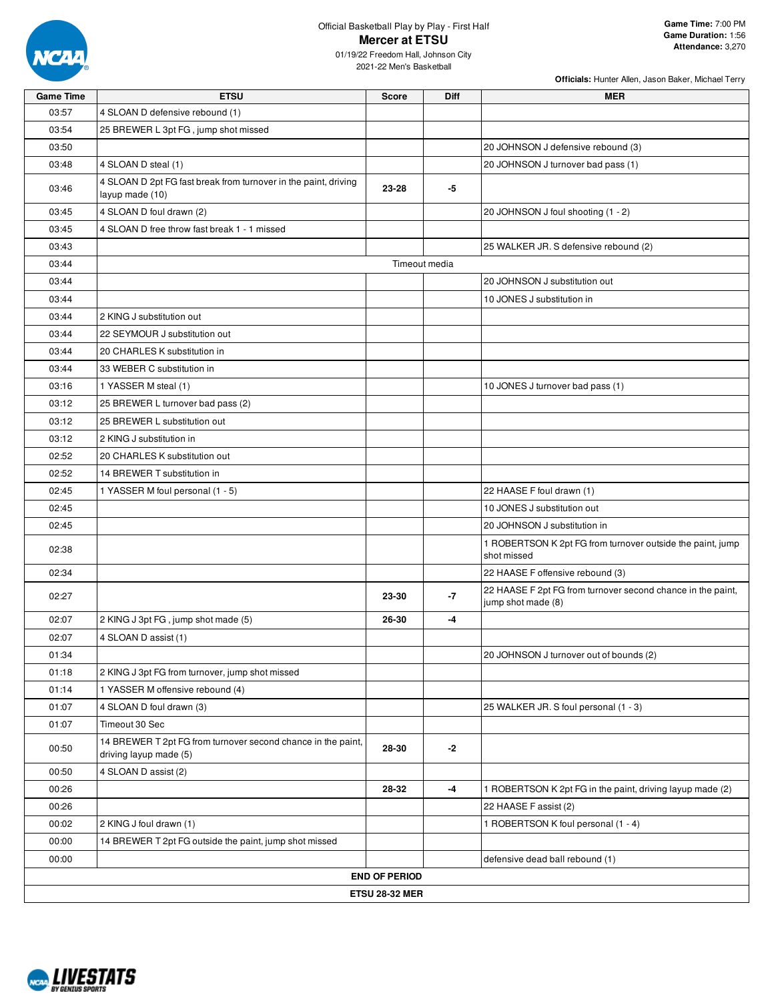

### Official Basketball Play by Play - First Half **Mercer at ETSU** 01/19/22 Freedom Hall, Johnson City

| <b>Game Time</b> | <b>ETSU</b>                                                                            | <b>Score</b>          | Diff          | <b>MER</b>                                                                        |
|------------------|----------------------------------------------------------------------------------------|-----------------------|---------------|-----------------------------------------------------------------------------------|
| 03:57            | 4 SLOAN D defensive rebound (1)                                                        |                       |               |                                                                                   |
| 03:54            | 25 BREWER L 3pt FG, jump shot missed                                                   |                       |               |                                                                                   |
| 03:50            |                                                                                        |                       |               | 20 JOHNSON J defensive rebound (3)                                                |
| 03:48            | 4 SLOAN D steal (1)                                                                    |                       |               | 20 JOHNSON J turnover bad pass (1)                                                |
| 03:46            | 4 SLOAN D 2pt FG fast break from turnover in the paint, driving<br>layup made (10)     | 23-28                 | -5            |                                                                                   |
| 03:45            | 4 SLOAN D foul drawn (2)                                                               |                       |               | 20 JOHNSON J foul shooting (1 - 2)                                                |
| 03:45            | 4 SLOAN D free throw fast break 1 - 1 missed                                           |                       |               |                                                                                   |
| 03:43            |                                                                                        |                       |               | 25 WALKER JR. S defensive rebound (2)                                             |
| 03:44            |                                                                                        |                       | Timeout media |                                                                                   |
| 03:44            |                                                                                        |                       |               | 20 JOHNSON J substitution out                                                     |
| 03:44            |                                                                                        |                       |               | 10 JONES J substitution in                                                        |
| 03:44            | 2 KING J substitution out                                                              |                       |               |                                                                                   |
| 03:44            | 22 SEYMOUR J substitution out                                                          |                       |               |                                                                                   |
| 03:44            | 20 CHARLES K substitution in                                                           |                       |               |                                                                                   |
| 03:44            | 33 WEBER C substitution in                                                             |                       |               |                                                                                   |
| 03:16            | 1 YASSER M steal (1)                                                                   |                       |               | 10 JONES J turnover bad pass (1)                                                  |
| 03:12            | 25 BREWER L turnover bad pass (2)                                                      |                       |               |                                                                                   |
| 03:12            | 25 BREWER L substitution out                                                           |                       |               |                                                                                   |
| 03:12            | 2 KING J substitution in                                                               |                       |               |                                                                                   |
| 02:52            | 20 CHARLES K substitution out                                                          |                       |               |                                                                                   |
| 02:52            | 14 BREWER T substitution in                                                            |                       |               |                                                                                   |
| 02:45            | 1 YASSER M foul personal (1 - 5)                                                       |                       |               | 22 HAASE F foul drawn (1)                                                         |
| 02:45            |                                                                                        |                       |               | 10 JONES J substitution out                                                       |
| 02:45            |                                                                                        |                       |               | 20 JOHNSON J substitution in                                                      |
| 02:38            |                                                                                        |                       |               | 1 ROBERTSON K 2pt FG from turnover outside the paint, jump<br>shot missed         |
| 02:34            |                                                                                        |                       |               | 22 HAASE F offensive rebound (3)                                                  |
| 02:27            |                                                                                        | 23-30                 | $-7$          | 22 HAASE F 2pt FG from turnover second chance in the paint,<br>jump shot made (8) |
| 02:07            | 2 KING J 3pt FG, jump shot made (5)                                                    | 26-30                 | -4            |                                                                                   |
| 02:07            | 4 SLOAN D assist (1)                                                                   |                       |               |                                                                                   |
| 01:34            |                                                                                        |                       |               | 20 JOHNSON J turnover out of bounds (2)                                           |
| 01:18            | 2 KING J 3pt FG from turnover, jump shot missed                                        |                       |               |                                                                                   |
| 01:14            | 1 YASSER M offensive rebound (4)                                                       |                       |               |                                                                                   |
| 01:07            | 4 SLOAN D foul drawn (3)                                                               |                       |               | 25 WALKER JR. S foul personal (1 - 3)                                             |
| 01:07            | Timeout 30 Sec                                                                         |                       |               |                                                                                   |
| 00:50            | 14 BREWER T 2pt FG from turnover second chance in the paint,<br>driving layup made (5) | 28-30                 | -2            |                                                                                   |
| 00:50            | 4 SLOAN D assist (2)                                                                   |                       |               |                                                                                   |
| 00:26            |                                                                                        | 28-32                 | $-4$          | 1 ROBERTSON K 2pt FG in the paint, driving layup made (2)                         |
| 00:26            |                                                                                        |                       |               | 22 HAASE F assist (2)                                                             |
| 00:02            | 2 KING J foul drawn (1)                                                                |                       |               | 1 ROBERTSON K foul personal (1 - 4)                                               |
| 00:00            | 14 BREWER T 2pt FG outside the paint, jump shot missed                                 |                       |               |                                                                                   |
| 00:00            |                                                                                        |                       |               | defensive dead ball rebound (1)                                                   |
|                  |                                                                                        | <b>END OF PERIOD</b>  |               |                                                                                   |
|                  |                                                                                        | <b>ETSU 28-32 MER</b> |               |                                                                                   |
|                  |                                                                                        |                       |               |                                                                                   |

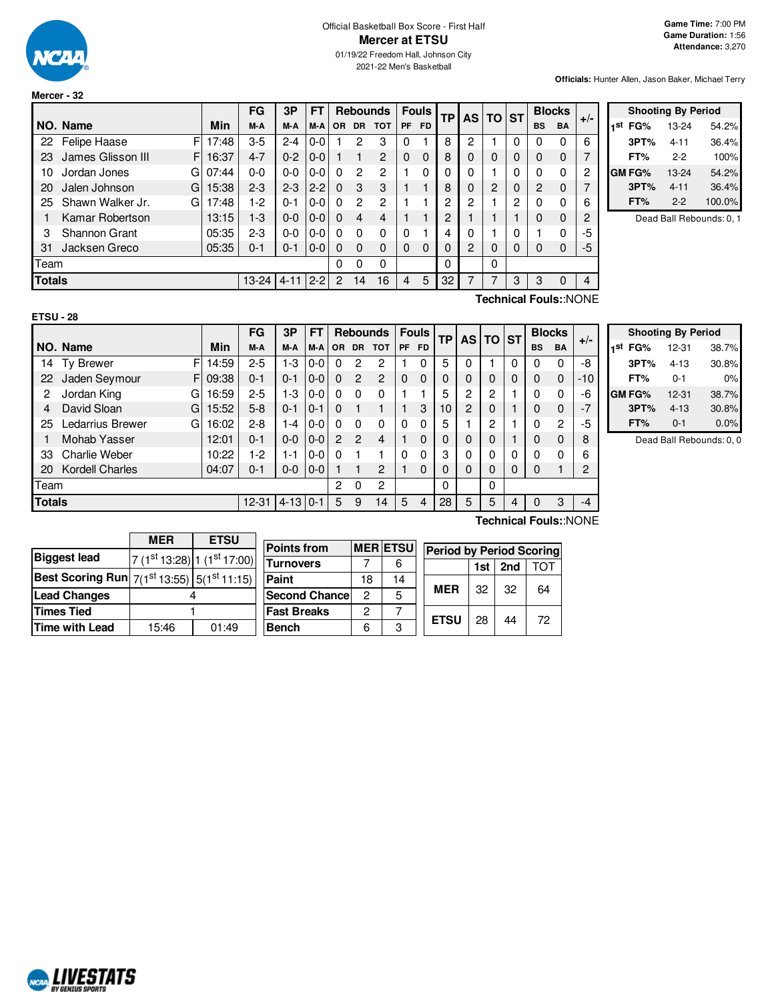

**Mercer - 32**

**Officials:** Hunter Allen, Jason Baker, Michael Terry

|               |                          |       | FG        | 3P       | FT      |           |           | <b>Rebounds</b> | <b>Fouls</b> |           | <b>TP</b> |   |                | <b>AS</b> | ΤO        | <b>ST</b>   |       | <b>Blocks</b> |  |
|---------------|--------------------------|-------|-----------|----------|---------|-----------|-----------|-----------------|--------------|-----------|-----------|---|----------------|-----------|-----------|-------------|-------|---------------|--|
|               | NO. Name                 | Min   | M-A       | M-A      | M-A     | <b>OR</b> | <b>DR</b> | <b>TOT</b>      | PF           | <b>FD</b> |           |   |                |           | <b>BS</b> | <b>BA</b>   | $+/-$ |               |  |
| 22            | F<br><b>Felipe Haase</b> | 17:48 | $3-5$     | $2 - 4$  | $0-0$   |           | 2         | 3               | 0            |           | 8         | 2 |                | 0         |           | 0           | 6     |               |  |
| 23            | James Glisson III<br>F   | 16:37 | $4 - 7$   | $0 - 2$  | $0 - 0$ |           |           | 2               | $\Omega$     | $\Omega$  | 8         | 0 | 0              | 0         | O         | $\mathbf 0$ |       |               |  |
| 10            | G<br>Jordan Jones        | 07:44 | 0-0       | $0 - 0$  | $0-0$   | $\Omega$  | 2         | 2               |              | 0         |           | 0 |                | 0         |           | 0           | 2     |               |  |
| 20            | G<br>Jalen Johnson       | 15:38 | $2 - 3$   | $2 - 3$  | $2 - 2$ | $\Omega$  | 3         | 3               |              |           | 8         |   | $\overline{2}$ | 0         | 2         | $\mathbf 0$ |       |               |  |
| 25            | Shawn Walker Jr.<br>G    | 7:48  | $1-2$     | $0 - 1$  | $0-0$   | $\Omega$  | 2         | 2               |              |           | 2         | 2 |                | 2         | 0         | 0           | 6     |               |  |
|               | Kamar Robertson          | 13:15 | $1-3$     | $0 - 0$  | $0 - 0$ | $\Omega$  | 4         | 4               |              |           | 2         |   |                |           | O         | $\Omega$    | 2     |               |  |
| 3             | Shannon Grant            | 05:35 | $2 - 3$   | $0 - 0$  | $0 - 0$ | $\Omega$  | 0         | $\Omega$        | $\Omega$     |           |           | 0 |                | 0         |           | 0           | -5    |               |  |
| 31            | Jacksen Greco            | 05:35 | $0 - 1$   | $0 - 1$  | $0 - 0$ | $\Omega$  | $\Omega$  | $\Omega$        | 0            | 0         |           | 2 | 0              | 0         | 0         | 0           | $-5$  |               |  |
| Team          |                          |       |           |          |         | $\Omega$  | 0         | 0               |              |           | $\Omega$  |   | 0              |           |           |             |       |               |  |
| <b>Totals</b> |                          |       | $13 - 24$ | $4 - 11$ | $2 - 2$ | 2         | 14        | 16              | 4            | 5         | 32        |   | 7              | 3         | 3         | $\Omega$    |       |               |  |

|     | <b>Shooting By Period</b> |          |        |  |  |  |  |  |  |
|-----|---------------------------|----------|--------|--|--|--|--|--|--|
| 1st | FG%                       | 13-24    | 54.2%  |  |  |  |  |  |  |
|     | 3PT%                      | 4-11     | 36.4%  |  |  |  |  |  |  |
|     | FT%                       | $2-2$    | 100%   |  |  |  |  |  |  |
|     | GM FG%                    | 13-24    | 54.2%  |  |  |  |  |  |  |
|     | 3PT%                      | $4 - 11$ | 36.4%  |  |  |  |  |  |  |
|     | FT%                       | $2 - 2$  | 100.0% |  |  |  |  |  |  |

Dead Ball Rebounds: 0, 1

**Technical Fouls:**:NONE

|               |                        |       | FG        | 3P         | FТ      |           |               | <b>Rebounds</b> |           | <b>Fouls</b> | <b>TP</b>   | AS I           | <b>TO ST</b> |   |              | <b>Blocks</b> | $+/-$ |
|---------------|------------------------|-------|-----------|------------|---------|-----------|---------------|-----------------|-----------|--------------|-------------|----------------|--------------|---|--------------|---------------|-------|
|               | NO. Name               | Min   | M-A       | M-A        | M-A     | <b>OR</b> | <b>DR</b>     | <b>TOT</b>      | <b>PF</b> | FD.          |             |                |              |   | <b>BS</b>    | <b>BA</b>     |       |
| 14            | F<br><b>Ty Brewer</b>  | 14:59 | $2 - 5$   | $1 - 3$    | $0-0$   |           | 2             | 2               |           | 0            | 5           | 0              |              | 0 | 0            | 0             | -8    |
| 22            | Jaden Seymour<br>FI    | 09:38 | $0 - 1$   | $0 - 1$    | $0-0$   | $\Omega$  | 2             | $\overline{c}$  | $\Omega$  | 0            | $\mathbf 0$ | 0              | 0            | 0 | $\Omega$     | $\Omega$      | $-10$ |
| 2             | Jordan King<br>G       | 16:59 | $2 - 5$   | $1 - 3$    | $0-0$   | $\Omega$  | $\Omega$      | $\Omega$        |           |              | 5           | 2              | 2            |   | $\Omega$     | 0             | -6    |
| 4             | David Sloan<br>G       | 15:52 | $5 - 8$   | $0 - 1$    | $0 - 1$ | $\Omega$  |               |                 |           | 3            | 10          | $\overline{c}$ | 0            |   | $\Omega$     | $\Omega$      | $-7$  |
| 25            | G<br>Ledarrius Brewer  | 16:02 | $2 - 8$   | 1-4        | $0-0$   | $\Omega$  | 0             | $\Omega$        | 0         | 0            | 5           |                | 2            |   | $\mathbf{0}$ | 2             | -5    |
|               | Mohab Yasser           | 12:01 | $0 - 1$   | $0 - 0$    | $0 - 0$ | 2         | $\mathcal{P}$ | 4               |           | 0            | 0           | 0              | 0            |   | $\Omega$     | 0             | 8     |
| 33            | <b>Charlie Weber</b>   | 10:22 | 1-2       | $1 - 1$    | $0-0$   | $\Omega$  |               |                 | 0         | 0            | 3           | 0              | 0            | 0 | $\Omega$     | 0             | 6     |
| 20            | <b>Kordell Charles</b> | 04:07 | $0 - 1$   | $0-0$      | $0 - 0$ |           |               | 2               |           | 0            | 0           | 0              | 0            | 0 | $\mathbf 0$  |               | 2     |
| Team          |                        |       |           |            |         | 2         | 0             | $\overline{c}$  |           |              | $\Omega$    |                | 0            |   |              |               |       |
| <b>Totals</b> |                        |       | $12 - 31$ | $4-13$ 0-1 |         | 5         | 9             | 14              | 5         | 4            | 28          | 5              | 5            | 4 |              | 3             | $-4$  |
|               |                        |       |           |            |         |           |               |                 |           |              |             |                |              |   |              |               |       |

**Shooting By Period 1 st FG%** 12-31 38.7% **3PT%** 4-13 30.8% **FT%** 0-1 0% **GM FG%** 12-31 38.7% **3PT%** 4-13 30.8% **FT%** 0-1 0.0%

Dead Ball Rebounds: 0, 0

|                                                             | <b>MFR</b><br><b>ETSU</b> |                              |  |  |  |  |
|-------------------------------------------------------------|---------------------------|------------------------------|--|--|--|--|
| <b>Biggest lead</b>                                         |                           | $7(1st13:28)$ 1 $(1st17:00)$ |  |  |  |  |
| <b>Best Scoring Run</b> $7(1^{st}13:55)$ 5( $1^{st}11:15$ ) |                           |                              |  |  |  |  |
| <b>Lead Changes</b>                                         |                           |                              |  |  |  |  |
| <b>Times Tied</b>                                           |                           |                              |  |  |  |  |
| <b>Time with Lead</b>                                       | 15:46                     | 01:49                        |  |  |  |  |

| <b>Points from</b>    |    | <b>MER ETSU</b> | <b>Period by Period Scorin</b> |     |     |      |  |  |
|-----------------------|----|-----------------|--------------------------------|-----|-----|------|--|--|
| <b>Turnovers</b>      |    |                 |                                | 1st | 2nd | TO T |  |  |
| Paint                 | 18 | 14              |                                |     |     |      |  |  |
| <b>Second Chancel</b> | 2  | 5               | <b>MER</b>                     | 32  | 32  | 64   |  |  |
| <b>Fast Breaks</b>    | 2  |                 | <b>ETSU</b>                    | 28  | 44  |      |  |  |
| <b>Bench</b>          |    | 3               |                                |     |     | 72   |  |  |

**Technical Fouls:**:NONE

| <b>Period by Period Scoring</b> |     |                   |    |  |  |  |  |  |
|---------------------------------|-----|-------------------|----|--|--|--|--|--|
|                                 |     | 1st   2nd   $TOT$ |    |  |  |  |  |  |
| FR.                             | -32 |                   | RΔ |  |  |  |  |  |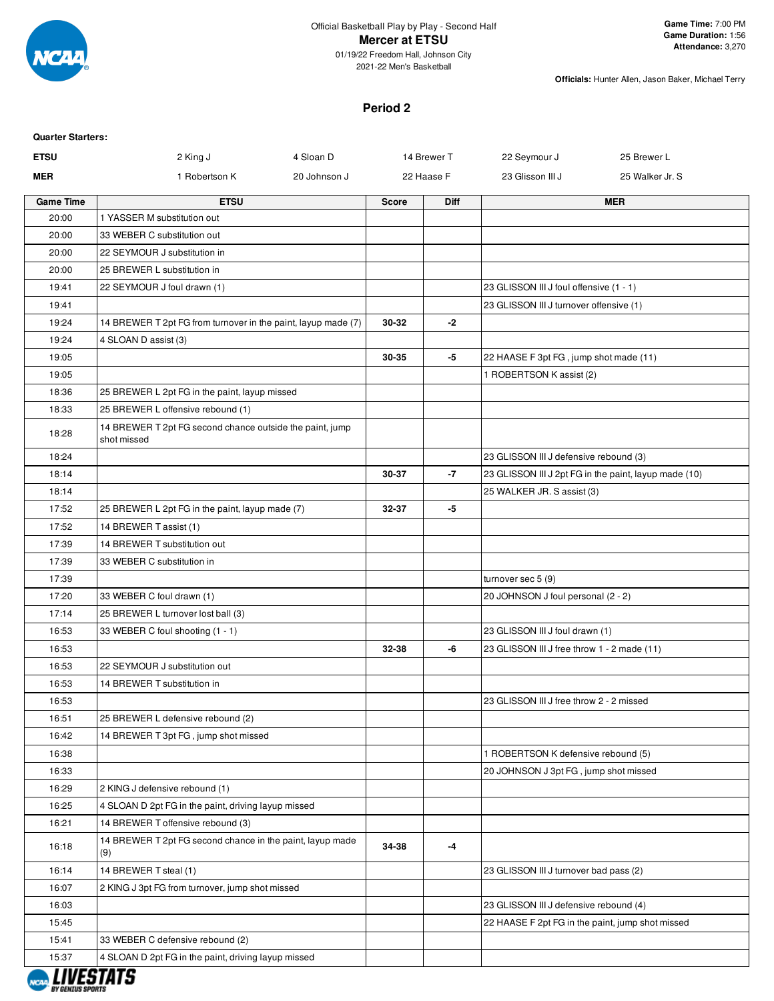

2021-22 Men's Basketball

**Officials:** Hunter Allen, Jason Baker, Michael Terry

### **Period 2**

| <b>Quarter Starters:</b> |                                                                         |              |             |            |                                                  |                                                       |
|--------------------------|-------------------------------------------------------------------------|--------------|-------------|------------|--------------------------------------------------|-------------------------------------------------------|
| <b>ETSU</b>              | 2 King J                                                                | 4 Sloan D    | 14 Brewer T |            | 22 Seymour J                                     | 25 Brewer L                                           |
| <b>MER</b>               | 1 Robertson K                                                           | 20 Johnson J |             | 22 Haase F | 23 Glisson III J                                 | 25 Walker Jr. S                                       |
| <b>Game Time</b>         | <b>ETSU</b>                                                             |              | Score       | Diff       |                                                  | <b>MER</b>                                            |
| 20:00                    | 1 YASSER M substitution out                                             |              |             |            |                                                  |                                                       |
| 20:00                    | 33 WEBER C substitution out                                             |              |             |            |                                                  |                                                       |
| 20:00                    | 22 SEYMOUR J substitution in                                            |              |             |            |                                                  |                                                       |
| 20:00                    | 25 BREWER L substitution in                                             |              |             |            |                                                  |                                                       |
| 19:41                    | 22 SEYMOUR J foul drawn (1)                                             |              |             |            | 23 GLISSON III J foul offensive (1 - 1)          |                                                       |
| 19:41                    |                                                                         |              |             |            | 23 GLISSON III J turnover offensive (1)          |                                                       |
| 19:24                    | 14 BREWER T 2pt FG from turnover in the paint, layup made (7)           |              | 30-32       | $-2$       |                                                  |                                                       |
| 19:24                    | 4 SLOAN D assist (3)                                                    |              |             |            |                                                  |                                                       |
| 19:05                    |                                                                         |              | 30-35       | -5         | 22 HAASE F 3pt FG, jump shot made (11)           |                                                       |
| 19:05                    |                                                                         |              |             |            | 1 ROBERTSON K assist (2)                         |                                                       |
| 18:36                    | 25 BREWER L 2pt FG in the paint, layup missed                           |              |             |            |                                                  |                                                       |
| 18:33                    | 25 BREWER L offensive rebound (1)                                       |              |             |            |                                                  |                                                       |
| 18:28                    | 14 BREWER T 2pt FG second chance outside the paint, jump<br>shot missed |              |             |            |                                                  |                                                       |
| 18:24                    |                                                                         |              |             |            | 23 GLISSON III J defensive rebound (3)           |                                                       |
| 18:14                    |                                                                         |              | 30-37       | $-7$       |                                                  | 23 GLISSON III J 2pt FG in the paint, layup made (10) |
| 18:14                    |                                                                         |              |             |            | 25 WALKER JR. S assist (3)                       |                                                       |
| 17:52                    | 25 BREWER L 2pt FG in the paint, layup made (7)                         |              | 32-37       | -5         |                                                  |                                                       |
| 17:52                    | 14 BREWER T assist (1)                                                  |              |             |            |                                                  |                                                       |
| 17:39                    | 14 BREWER T substitution out                                            |              |             |            |                                                  |                                                       |
| 17:39                    | 33 WEBER C substitution in                                              |              |             |            |                                                  |                                                       |
| 17:39                    |                                                                         |              |             |            | turnover sec 5 (9)                               |                                                       |
| 17:20                    | 33 WEBER C foul drawn (1)                                               |              |             |            | 20 JOHNSON J foul personal (2 - 2)               |                                                       |
| 17:14                    | 25 BREWER L turnover lost ball (3)                                      |              |             |            |                                                  |                                                       |
| 16:53                    | 33 WEBER C foul shooting (1 - 1)                                        |              |             |            | 23 GLISSON III J foul drawn (1)                  |                                                       |
| 16:53                    |                                                                         |              | 32-38       | -6         | 23 GLISSON III J free throw 1 - 2 made (11)      |                                                       |
| 16:53                    | 22 SEYMOUR J substitution out                                           |              |             |            |                                                  |                                                       |
| 16:53                    | 14 BREWER T substitution in                                             |              |             |            |                                                  |                                                       |
| 16:53                    |                                                                         |              |             |            | 23 GLISSON III J free throw 2 - 2 missed         |                                                       |
| 16:51                    | 25 BREWER L defensive rebound (2)                                       |              |             |            |                                                  |                                                       |
| 16:42                    | 14 BREWER T 3pt FG, jump shot missed                                    |              |             |            |                                                  |                                                       |
| 16:38                    |                                                                         |              |             |            | 1 ROBERTSON K defensive rebound (5)              |                                                       |
| 16:33                    |                                                                         |              |             |            | 20 JOHNSON J 3pt FG, jump shot missed            |                                                       |
| 16:29                    | 2 KING J defensive rebound (1)                                          |              |             |            |                                                  |                                                       |
| 16:25                    | 4 SLOAN D 2pt FG in the paint, driving layup missed                     |              |             |            |                                                  |                                                       |
| 16:21                    | 14 BREWER T offensive rebound (3)                                       |              |             |            |                                                  |                                                       |
| 16:18                    | 14 BREWER T 2pt FG second chance in the paint, layup made<br>(9)        |              | 34-38       | -4         |                                                  |                                                       |
| 16:14                    | 14 BREWER T steal (1)                                                   |              |             |            | 23 GLISSON III J turnover bad pass (2)           |                                                       |
| 16:07                    | 2 KING J 3pt FG from turnover, jump shot missed                         |              |             |            |                                                  |                                                       |
| 16:03                    |                                                                         |              |             |            | 23 GLISSON III J defensive rebound (4)           |                                                       |
| 15:45                    |                                                                         |              |             |            | 22 HAASE F 2pt FG in the paint, jump shot missed |                                                       |
| 15:41                    | 33 WEBER C defensive rebound (2)                                        |              |             |            |                                                  |                                                       |
| 15:37                    | 4 SLOAN D 2pt FG in the paint, driving layup missed                     |              |             |            |                                                  |                                                       |
|                          |                                                                         |              |             |            |                                                  |                                                       |

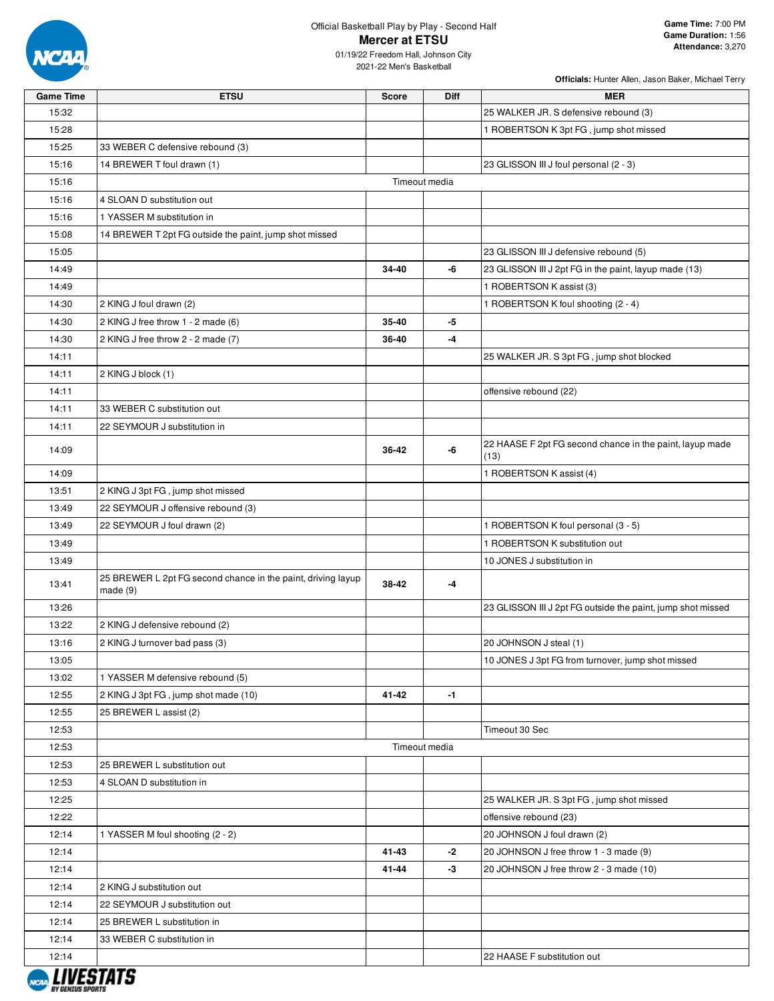

## Official Basketball Play by Play - Second Half **Mercer at ETSU**

01/19/22 Freedom Hall, Johnson City 2021-22 Men's Basketball

| <b>Game Time</b> | <b>ETSU</b>                                                             | <b>Score</b> | Diff          | <b>MER</b>                                                       |
|------------------|-------------------------------------------------------------------------|--------------|---------------|------------------------------------------------------------------|
| 15:32            |                                                                         |              |               | 25 WALKER JR. S defensive rebound (3)                            |
| 15:28            |                                                                         |              |               | 1 ROBERTSON K 3pt FG, jump shot missed                           |
| 15:25            | 33 WEBER C defensive rebound (3)                                        |              |               |                                                                  |
| 15:16            | 14 BREWER T foul drawn (1)                                              |              |               | 23 GLISSON III J foul personal (2 - 3)                           |
| 15:16            |                                                                         |              | Timeout media |                                                                  |
| 15:16            | 4 SLOAN D substitution out                                              |              |               |                                                                  |
| 15:16            | 1 YASSER M substitution in                                              |              |               |                                                                  |
| 15:08            | 14 BREWER T 2pt FG outside the paint, jump shot missed                  |              |               |                                                                  |
| 15:05            |                                                                         |              |               | 23 GLISSON III J defensive rebound (5)                           |
| 14:49            |                                                                         | 34-40        | -6            | 23 GLISSON III J 2pt FG in the paint, layup made (13)            |
| 14:49            |                                                                         |              |               | 1 ROBERTSON K assist (3)                                         |
| 14:30            | 2 KING J foul drawn (2)                                                 |              |               | 1 ROBERTSON K foul shooting (2 - 4)                              |
| 14:30            | 2 KING J free throw 1 - 2 made (6)                                      | 35-40        | -5            |                                                                  |
| 14:30            | 2 KING J free throw 2 - 2 made (7)                                      | 36-40        | -4            |                                                                  |
| 14:11            |                                                                         |              |               | 25 WALKER JR. S 3pt FG, jump shot blocked                        |
| 14:11            | 2 KING J block (1)                                                      |              |               |                                                                  |
| 14:11            |                                                                         |              |               | offensive rebound (22)                                           |
| 14:11            | 33 WEBER C substitution out                                             |              |               |                                                                  |
| 14:11            | 22 SEYMOUR J substitution in                                            |              |               |                                                                  |
| 14:09            |                                                                         | 36-42        | -6            | 22 HAASE F 2pt FG second chance in the paint, layup made<br>(13) |
| 14:09            |                                                                         |              |               | 1 ROBERTSON K assist (4)                                         |
| 13:51            | 2 KING J 3pt FG, jump shot missed                                       |              |               |                                                                  |
| 13:49            | 22 SEYMOUR J offensive rebound (3)                                      |              |               |                                                                  |
| 13:49            | 22 SEYMOUR J foul drawn (2)                                             |              |               | 1 ROBERTSON K foul personal (3 - 5)                              |
| 13:49            |                                                                         |              |               | 1 ROBERTSON K substitution out                                   |
| 13:49            |                                                                         |              |               | 10 JONES J substitution in                                       |
| 13:41            | 25 BREWER L 2pt FG second chance in the paint, driving layup<br>made(9) | 38-42        | -4            |                                                                  |
| 13:26            |                                                                         |              |               | 23 GLISSON III J 2pt FG outside the paint, jump shot missed      |
| 13:22            | 2 KING J defensive rebound (2)                                          |              |               |                                                                  |
| 13:16            | 2 KING J turnover bad pass (3)                                          |              |               | 20 JOHNSON J steal (1)                                           |
| 13:05            |                                                                         |              |               | 10 JONES J 3pt FG from turnover, jump shot missed                |
| 13:02            | 1 YASSER M defensive rebound (5)                                        |              |               |                                                                  |
| 12:55            | 2 KING J 3pt FG, jump shot made (10)                                    | 41-42        | $-1$          |                                                                  |
| 12:55            | 25 BREWER L assist (2)                                                  |              |               |                                                                  |
| 12:53            |                                                                         |              |               | Timeout 30 Sec                                                   |
| 12:53            |                                                                         |              | Timeout media |                                                                  |
| 12:53            | 25 BREWER L substitution out                                            |              |               |                                                                  |
| 12:53            | 4 SLOAN D substitution in                                               |              |               |                                                                  |
| 12:25            |                                                                         |              |               | 25 WALKER JR. S 3pt FG, jump shot missed                         |
| 12:22            |                                                                         |              |               | offensive rebound (23)                                           |
| 12:14            | 1 YASSER M foul shooting (2 - 2)                                        |              |               | 20 JOHNSON J foul drawn (2)                                      |
| 12:14            |                                                                         | 41-43        | -2            | 20 JOHNSON J free throw 1 - 3 made (9)                           |
| 12:14            |                                                                         | 41-44        | -3            | 20 JOHNSON J free throw 2 - 3 made (10)                          |
| 12:14            | 2 KING J substitution out                                               |              |               |                                                                  |
| 12:14            | 22 SEYMOUR J substitution out                                           |              |               |                                                                  |
| 12:14            | 25 BREWER L substitution in                                             |              |               |                                                                  |
| 12:14            | 33 WEBER C substitution in                                              |              |               |                                                                  |
| 12:14            |                                                                         |              |               | 22 HAASE F substitution out                                      |

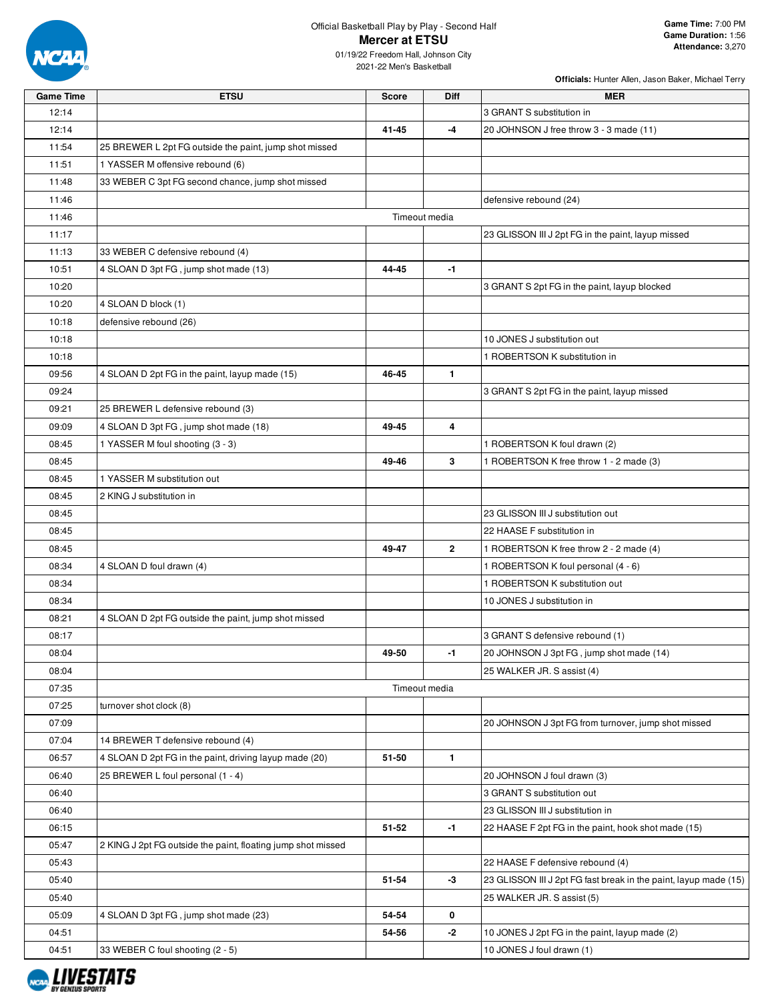

## Official Basketball Play by Play - Second Half **Mercer at ETSU**

01/19/22 Freedom Hall, Johnson City 2021-22 Men's Basketball

| <b>Game Time</b> | <b>ETSU</b>                                                  | <b>Score</b>  | Diff         | <b>MER</b>                                                       |
|------------------|--------------------------------------------------------------|---------------|--------------|------------------------------------------------------------------|
| 12:14            |                                                              |               |              | 3 GRANT S substitution in                                        |
| 12:14            |                                                              | 41-45         | $-4$         | 20 JOHNSON J free throw 3 - 3 made (11)                          |
| 11:54            | 25 BREWER L 2pt FG outside the paint, jump shot missed       |               |              |                                                                  |
| 11:51            | 1 YASSER M offensive rebound (6)                             |               |              |                                                                  |
| 11:48            | 33 WEBER C 3pt FG second chance, jump shot missed            |               |              |                                                                  |
| 11:46            |                                                              |               |              | defensive rebound (24)                                           |
| 11:46            |                                                              | Timeout media |              |                                                                  |
| 11:17            |                                                              |               |              | 23 GLISSON III J 2pt FG in the paint, layup missed               |
| 11:13            | 33 WEBER C defensive rebound (4)                             |               |              |                                                                  |
| 10:51            | 4 SLOAN D 3pt FG, jump shot made (13)                        | 44-45         | $-1$         |                                                                  |
| 10:20            |                                                              |               |              | 3 GRANT S 2pt FG in the paint, layup blocked                     |
| 10:20            | 4 SLOAN D block (1)                                          |               |              |                                                                  |
| 10:18            | defensive rebound (26)                                       |               |              |                                                                  |
| 10:18            |                                                              |               |              | 10 JONES J substitution out                                      |
| 10:18            |                                                              |               |              | 1 ROBERTSON K substitution in                                    |
|                  |                                                              |               |              |                                                                  |
| 09:56            | 4 SLOAN D 2pt FG in the paint, layup made (15)               | 46-45         | $\mathbf{1}$ |                                                                  |
| 09:24            |                                                              |               |              | 3 GRANT S 2pt FG in the paint, layup missed                      |
| 09:21            | 25 BREWER L defensive rebound (3)                            |               |              |                                                                  |
| 09:09            | 4 SLOAN D 3pt FG, jump shot made (18)                        | 49-45         | 4            |                                                                  |
| 08:45            | 1 YASSER M foul shooting (3 - 3)                             |               |              | 1 ROBERTSON K foul drawn (2)                                     |
| 08:45            |                                                              | 49-46         | 3            | 1 ROBERTSON K free throw 1 - 2 made (3)                          |
| 08:45            | 1 YASSER M substitution out                                  |               |              |                                                                  |
| 08:45            | 2 KING J substitution in                                     |               |              |                                                                  |
| 08:45            |                                                              |               |              | 23 GLISSON III J substitution out                                |
| 08:45            |                                                              |               |              | 22 HAASE F substitution in                                       |
| 08:45            |                                                              | 49-47         | $\mathbf{2}$ | 1 ROBERTSON K free throw 2 - 2 made (4)                          |
| 08:34            | 4 SLOAN D foul drawn (4)                                     |               |              | 1 ROBERTSON K foul personal (4 - 6)                              |
| 08:34            |                                                              |               |              | 1 ROBERTSON K substitution out                                   |
| 08:34            |                                                              |               |              | 10 JONES J substitution in                                       |
| 08:21            | 4 SLOAN D 2pt FG outside the paint, jump shot missed         |               |              |                                                                  |
| 08:17            |                                                              |               |              | 3 GRANT S defensive rebound (1)                                  |
| 08:04            |                                                              | 49-50         | -1           | 20 JOHNSON J 3pt FG, jump shot made (14)                         |
| 08:04            |                                                              |               |              | 25 WALKER JR. S assist (4)                                       |
| 07:35            |                                                              | Timeout media |              |                                                                  |
| 07:25            | turnover shot clock (8)                                      |               |              |                                                                  |
| 07:09            |                                                              |               |              | 20 JOHNSON J 3pt FG from turnover, jump shot missed              |
| 07:04            | 14 BREWER T defensive rebound (4)                            |               |              |                                                                  |
| 06:57            | 4 SLOAN D 2pt FG in the paint, driving layup made (20)       | 51-50         | $\mathbf{1}$ |                                                                  |
| 06:40            | 25 BREWER L foul personal (1 - 4)                            |               |              | 20 JOHNSON J foul drawn (3)                                      |
| 06:40            |                                                              |               |              | 3 GRANT S substitution out                                       |
| 06:40            |                                                              |               |              | 23 GLISSON III J substitution in                                 |
| 06:15            |                                                              | 51-52         | $-1$         | 22 HAASE F 2pt FG in the paint, hook shot made (15)              |
| 05:47            | 2 KING J 2pt FG outside the paint, floating jump shot missed |               |              |                                                                  |
| 05:43            |                                                              |               |              | 22 HAASE F defensive rebound (4)                                 |
| 05:40            |                                                              | 51-54         | -3           | 23 GLISSON III J 2pt FG fast break in the paint, layup made (15) |
| 05:40            |                                                              |               |              | 25 WALKER JR. S assist (5)                                       |
| 05:09            | 4 SLOAN D 3pt FG, jump shot made (23)                        | 54-54         | 0            |                                                                  |
|                  |                                                              |               |              |                                                                  |
| 04:51            |                                                              | 54-56         | $-2$         | 10 JONES J 2pt FG in the paint, layup made (2)                   |
| 04:51            | 33 WEBER C foul shooting (2 - 5)                             |               |              | 10 JONES J foul drawn (1)                                        |

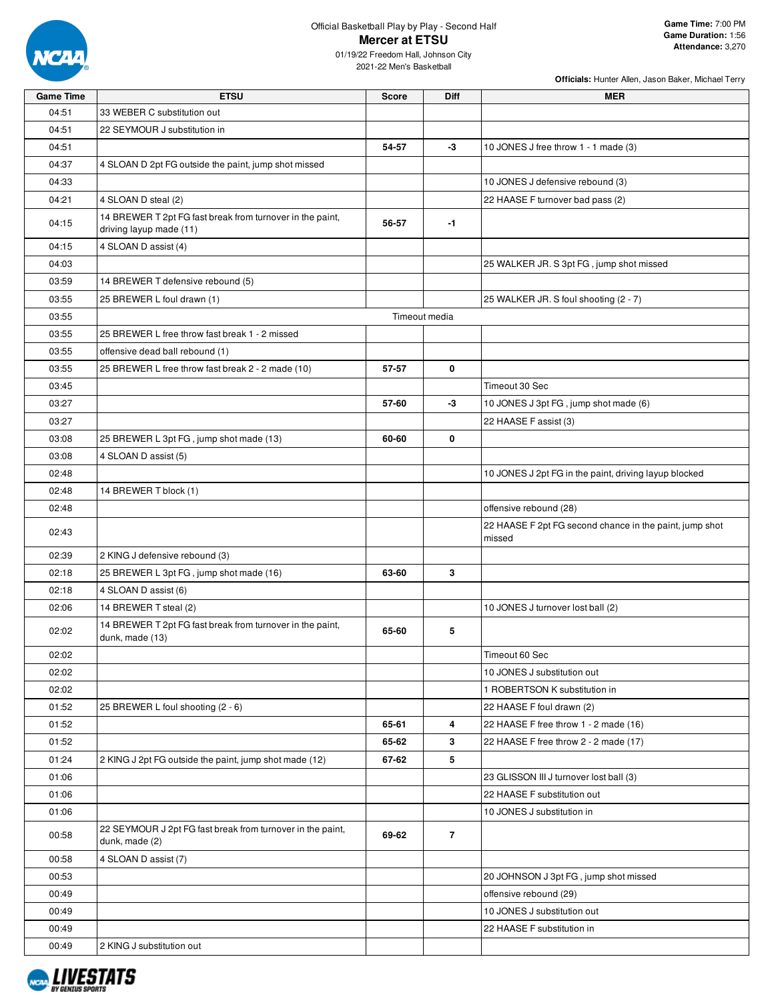

2021-22 Men's Basketball

| <b>Game Time</b> | <b>ETSU</b>                                                                          | Score | <b>Diff</b>    | MER                                                     |
|------------------|--------------------------------------------------------------------------------------|-------|----------------|---------------------------------------------------------|
| 04:51            | 33 WEBER C substitution out                                                          |       |                |                                                         |
| 04:51            | 22 SEYMOUR J substitution in                                                         |       |                |                                                         |
| 04:51            |                                                                                      | 54-57 | -3             | 10 JONES J free throw 1 - 1 made (3)                    |
| 04:37            | 4 SLOAN D 2pt FG outside the paint, jump shot missed                                 |       |                |                                                         |
| 04:33            |                                                                                      |       |                | 10 JONES J defensive rebound (3)                        |
| 04:21            | 4 SLOAN D steal (2)                                                                  |       |                | 22 HAASE F turnover bad pass (2)                        |
| 04:15            | 14 BREWER T 2pt FG fast break from turnover in the paint,<br>driving layup made (11) | 56-57 | -1             |                                                         |
| 04:15            | 4 SLOAN D assist (4)                                                                 |       |                |                                                         |
| 04:03            |                                                                                      |       |                | 25 WALKER JR. S 3pt FG, jump shot missed                |
| 03:59            | 14 BREWER T defensive rebound (5)                                                    |       |                |                                                         |
| 03:55            | 25 BREWER L foul drawn (1)                                                           |       |                | 25 WALKER JR. S foul shooting (2 - 7)                   |
| 03:55            |                                                                                      |       | Timeout media  |                                                         |
| 03:55            | 25 BREWER L free throw fast break 1 - 2 missed                                       |       |                |                                                         |
| 03:55            | offensive dead ball rebound (1)                                                      |       |                |                                                         |
| 03:55            | 25 BREWER L free throw fast break 2 - 2 made (10)                                    | 57-57 | 0              |                                                         |
| 03:45            |                                                                                      |       |                | Timeout 30 Sec                                          |
| 03:27            |                                                                                      | 57-60 | -3             | 10 JONES J 3pt FG, jump shot made (6)                   |
| 03:27            |                                                                                      |       |                | 22 HAASE F assist (3)                                   |
| 03:08            | 25 BREWER L 3pt FG, jump shot made (13)                                              | 60-60 | 0              |                                                         |
| 03:08            | 4 SLOAN D assist (5)                                                                 |       |                |                                                         |
| 02:48            |                                                                                      |       |                | 10 JONES J 2pt FG in the paint, driving layup blocked   |
| 02:48            | 14 BREWER T block (1)                                                                |       |                |                                                         |
| 02:48            |                                                                                      |       |                | offensive rebound (28)                                  |
|                  |                                                                                      |       |                | 22 HAASE F 2pt FG second chance in the paint, jump shot |
| 02:43            |                                                                                      |       |                | missed                                                  |
| 02:39            | 2 KING J defensive rebound (3)                                                       |       |                |                                                         |
| 02:18            | 25 BREWER L 3pt FG, jump shot made (16)                                              | 63-60 | 3              |                                                         |
| 02:18            | 4 SLOAN D assist (6)                                                                 |       |                |                                                         |
| 02:06            | 14 BREWER T steal (2)                                                                |       |                | 10 JONES J turnover lost ball (2)                       |
| 02:02            | 14 BREWER T 2pt FG fast break from turnover in the paint,<br>dunk, made (13)         | 65-60 | 5              |                                                         |
| 02:02            |                                                                                      |       |                | Timeout 60 Sec                                          |
| 02:02            |                                                                                      |       |                | 10 JONES J substitution out                             |
| 02:02            |                                                                                      |       |                | 1 ROBERTSON K substitution in                           |
| 01:52            | 25 BREWER L foul shooting (2 - 6)                                                    |       |                | 22 HAASE F foul drawn (2)                               |
| 01:52            |                                                                                      | 65-61 | 4              | 22 HAASE F free throw 1 - 2 made (16)                   |
| 01:52            |                                                                                      | 65-62 | $\mathbf{3}$   | 22 HAASE F free throw 2 - 2 made (17)                   |
| 01:24            | 2 KING J 2pt FG outside the paint, jump shot made (12)                               | 67-62 | 5              |                                                         |
| 01:06            |                                                                                      |       |                | 23 GLISSON III J turnover lost ball (3)                 |
| 01:06            |                                                                                      |       |                | 22 HAASE F substitution out                             |
| 01:06            |                                                                                      |       |                | 10 JONES J substitution in                              |
| 00:58            | 22 SEYMOUR J 2pt FG fast break from turnover in the paint,<br>dunk, made (2)         | 69-62 | $\overline{7}$ |                                                         |
| 00:58            | 4 SLOAN D assist (7)                                                                 |       |                |                                                         |
| 00:53            |                                                                                      |       |                | 20 JOHNSON J 3pt FG, jump shot missed                   |
| 00:49            |                                                                                      |       |                | offensive rebound (29)                                  |
| 00:49            |                                                                                      |       |                | 10 JONES J substitution out                             |
| 00:49            |                                                                                      |       |                | 22 HAASE F substitution in                              |
| 00:49            | 2 KING J substitution out                                                            |       |                |                                                         |

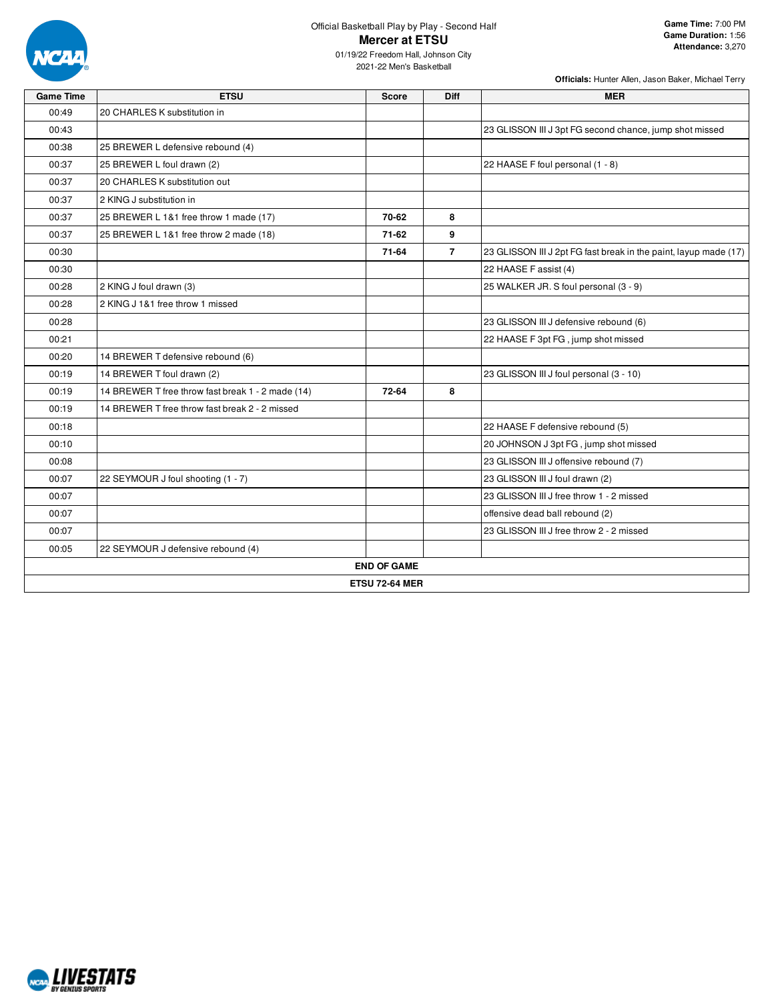

2021-22 Men's Basketball

| <b>Game Time</b>      | <b>ETSU</b>                                       | <b>Score</b>       | Diff           | <b>MER</b>                                                       |  |  |
|-----------------------|---------------------------------------------------|--------------------|----------------|------------------------------------------------------------------|--|--|
| 00:49                 | 20 CHARLES K substitution in                      |                    |                |                                                                  |  |  |
| 00:43                 |                                                   |                    |                | 23 GLISSON III J 3pt FG second chance, jump shot missed          |  |  |
| 00:38                 | 25 BREWER L defensive rebound (4)                 |                    |                |                                                                  |  |  |
| 00:37                 | 25 BREWER L foul drawn (2)                        |                    |                | 22 HAASE F foul personal (1 - 8)                                 |  |  |
| 00:37                 | 20 CHARLES K substitution out                     |                    |                |                                                                  |  |  |
| 00:37                 | 2 KING J substitution in                          |                    |                |                                                                  |  |  |
| 00:37                 | 25 BREWER L 1&1 free throw 1 made (17)            | 70-62              | 8              |                                                                  |  |  |
| 00:37                 | 25 BREWER L 1&1 free throw 2 made (18)            | 71-62              | 9              |                                                                  |  |  |
| 00:30                 |                                                   | 71-64              | $\overline{7}$ | 23 GLISSON III J 2pt FG fast break in the paint, layup made (17) |  |  |
| 00:30                 |                                                   |                    |                | 22 HAASE F assist (4)                                            |  |  |
| 00:28                 | 2 KING J foul drawn (3)                           |                    |                | 25 WALKER JR. S foul personal (3 - 9)                            |  |  |
| 00:28                 | 2 KING J 1&1 free throw 1 missed                  |                    |                |                                                                  |  |  |
| 00:28                 |                                                   |                    |                | 23 GLISSON III J defensive rebound (6)                           |  |  |
| 00:21                 |                                                   |                    |                | 22 HAASE F 3pt FG, jump shot missed                              |  |  |
| 00:20                 | 14 BREWER T defensive rebound (6)                 |                    |                |                                                                  |  |  |
| 00:19                 | 14 BREWER T foul drawn (2)                        |                    |                | 23 GLISSON III J foul personal (3 - 10)                          |  |  |
| 00:19                 | 14 BREWER T free throw fast break 1 - 2 made (14) | 72-64              | 8              |                                                                  |  |  |
| 00:19                 | 14 BREWER T free throw fast break 2 - 2 missed    |                    |                |                                                                  |  |  |
| 00:18                 |                                                   |                    |                | 22 HAASE F defensive rebound (5)                                 |  |  |
| 00:10                 |                                                   |                    |                | 20 JOHNSON J 3pt FG, jump shot missed                            |  |  |
| 00:08                 |                                                   |                    |                | 23 GLISSON III J offensive rebound (7)                           |  |  |
| 00:07                 | 22 SEYMOUR J foul shooting (1 - 7)                |                    |                | 23 GLISSON III J foul drawn (2)                                  |  |  |
| 00:07                 |                                                   |                    |                | 23 GLISSON III J free throw 1 - 2 missed                         |  |  |
| 00:07                 |                                                   |                    |                | offensive dead ball rebound (2)                                  |  |  |
| 00:07                 |                                                   |                    |                | 23 GLISSON III J free throw 2 - 2 missed                         |  |  |
| 00:05                 | 22 SEYMOUR J defensive rebound (4)                |                    |                |                                                                  |  |  |
|                       |                                                   | <b>END OF GAME</b> |                |                                                                  |  |  |
| <b>ETSU 72-64 MER</b> |                                                   |                    |                |                                                                  |  |  |

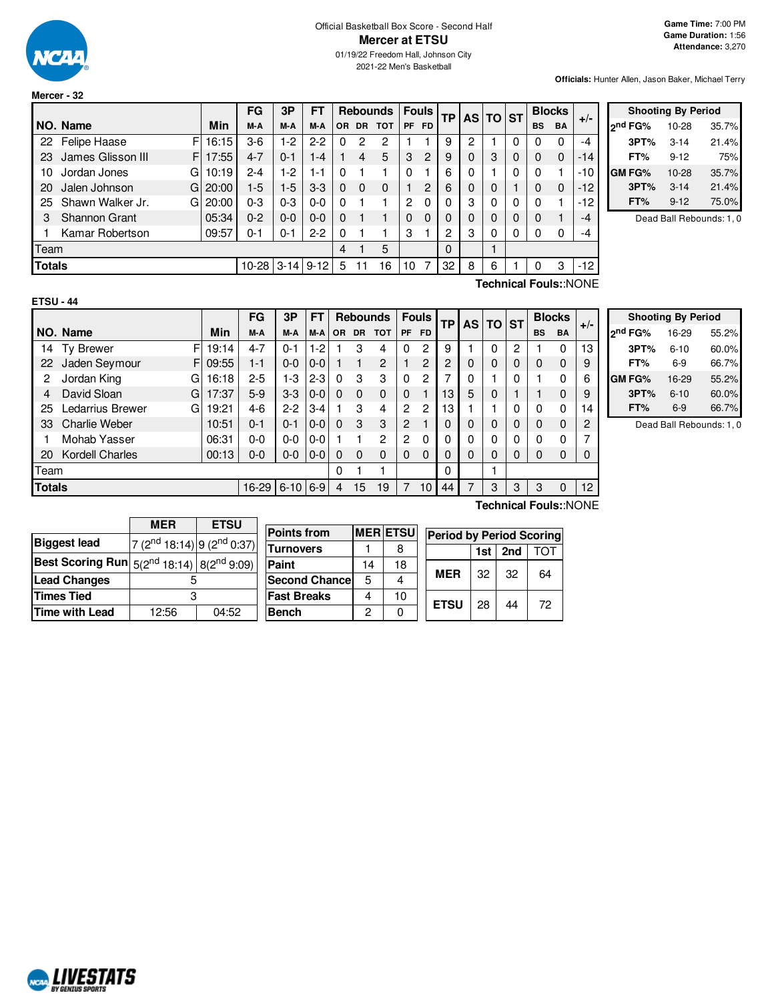

**Mercer - 32**

**Officials:** Hunter Allen, Jason Baker, Michael Terry

|               |                         |            | FG        | 3P       | FТ       |           |                | <b>Rebounds</b> |                | <b>Fouls</b> | TP I |   | AS TO ST    |   |           | <b>Blocks</b> |       |                 |
|---------------|-------------------------|------------|-----------|----------|----------|-----------|----------------|-----------------|----------------|--------------|------|---|-------------|---|-----------|---------------|-------|-----------------|
|               | NO. Name                | <b>Min</b> | M-A       | M-A      | M-A      | <b>OR</b> | <b>DR</b>      | <b>TOT</b>      | <b>PF</b>      | <b>FD</b>    |      |   |             |   | <b>BS</b> | <b>BA</b>     | $+/-$ | <sub>2</sub> nd |
| 22            | F<br>Felipe Haase       | 16:15      | $3-6$     | $1-2$    | $2 - 2$  | 0         | $\overline{2}$ | 2               |                |              | 9    | 2 |             |   |           | 0             | -4    |                 |
| 23            | James Glisson III<br>F. | 17:55      | $4 - 7$   | $0 - 1$  | $1 - 4$  |           | 4              | 5               | 3              | 2            | 9    | 0 | 3           | 0 | 0         | $\Omega$      | -14   |                 |
| 10            | Jordan Jones<br>G       | 10:19      | $2 - 4$   | $1-2$    | $1 - 1$  | 0         |                |                 | $\Omega$       |              | 6    | 0 |             | 0 |           |               | $-10$ | <b>GM</b>       |
| 20            | Jalen Johnson<br>GI     | 20:00      | $1-5$     | $1-5$    | $3-3$    | 0         | 0              | $\Omega$        |                | 2            | 6    | 0 | $\Omega$    |   | 0         | $\Omega$      | $-12$ |                 |
| 25            | Shawn Walker Jr.<br>GI  | 20:00      | $0 - 3$   | $0 - 3$  | $0-0$    | 0         |                |                 | $\overline{2}$ | 0            |      | 3 | $\Omega$    | 0 | $\Omega$  |               | $-12$ |                 |
| 3             | <b>Shannon Grant</b>    | 05:34      | $0 - 2$   | $0 - 0$  | $0 - 0$  | 0         |                |                 | $\Omega$       | $\Omega$     | 0    |   | $\Omega$    |   | 0         |               | $-4$  |                 |
|               | Kamar Robertson         | 09:57      | $0 - 1$   | $0 - 1$  | $2 - 2$  | 0         |                |                 | З              |              | 2    | 3 | $\mathbf 0$ | 0 |           | 0             | $-4$  |                 |
| Team          |                         |            |           |          |          | 4         |                | 5               |                |              | 0    |   |             |   |           |               |       |                 |
| <b>Totals</b> |                         |            | $10 - 28$ | $3 - 14$ | $9 - 12$ | 5         |                | 16              | 10             |              | 32   | 8 | 6           |   |           | 3             | -12   |                 |

|                     | <b>Shooting By Period</b> |       |  |  |  |  |
|---------------------|---------------------------|-------|--|--|--|--|
| <sub>2</sub> nd FG% | 10-28                     | 35.7% |  |  |  |  |
| 3PT%                | $3 - 14$                  | 21.4% |  |  |  |  |
| FT%                 | $9 - 12$                  | 75%   |  |  |  |  |
| <b>GM FG%</b>       | 10-28                     | 35.7% |  |  |  |  |
| 3PT%                | $3 - 14$                  | 21.4% |  |  |  |  |
| FT%                 | $9 - 12$                  | 75.0% |  |  |  |  |

Dead Ball Rebounds: 1, 0

| ×<br>۰, |
|---------|
|---------|

**Technical Fouls:**:NONE

|    |                        |       | FG      | 3P       | FT      |          |           | <b>Rebounds</b> |                | <b>Fouls</b>             | <b>TP</b> | <b>AS</b> | TO       | <b>IST</b> |           | <b>Blocks</b>  | $+/-$ |
|----|------------------------|-------|---------|----------|---------|----------|-----------|-----------------|----------------|--------------------------|-----------|-----------|----------|------------|-----------|----------------|-------|
|    | NO. Name               | Min   | M-A     | M-A      | M-A     | OR.      | <b>DR</b> | <b>TOT</b>      | <b>PF</b>      | <b>FD</b>                |           |           |          |            | <b>BS</b> | <b>BA</b>      |       |
| 14 | F<br><b>Ty Brewer</b>  | 19:14 | $4 - 7$ | $0 - 1$  | $1-2$   |          | 3         | 4               | 0              | 2                        | 9         |           | 0        | 2          |           | $\Omega$       | 13    |
| 22 | Jaden Seymour<br>FI    | 09:55 | $1 - 1$ | $0 - 0$  | $0 - 0$ |          |           | 2               |                | 2                        | 2         | 0         | 0        | 0          | 0         | 0              | 9     |
| 2  | Jordan King<br>G       | 16:18 | $2 - 5$ | 1-3      | $2 - 3$ | $\Omega$ | 3         | 3               | 0              | 2                        | ⇁         | 0         |          | 0          |           | $\Omega$       | 6     |
| 4  | David Sloan<br>G       | 17:37 | $5-9$   | $3-3$    | $0 - 0$ | $\Omega$ | $\Omega$  | $\Omega$        | $\Omega$       | 1                        | 13        | 5         | $\Omega$ |            |           | 0              | 9     |
| 25 | Ledarrius Brewer<br>G  | 19:21 | $4-6$   | $2-2$    | $3 - 4$ |          | 3         | 4               | $\overline{c}$ | $\overline{2}$           | 13        |           |          | 0          | 0         | 0              | 14    |
| 33 | <b>Charlie Weber</b>   | 10:51 | $0 - 1$ | $0 - 1$  | $0 - 0$ | $\Omega$ | 3         | 3               | 2              | $\overline{\phantom{0}}$ |           | 0         | $\Omega$ | 0          | 0         | $\overline{0}$ | 2     |
|    | Mohab Yasser           | 06:31 | $0 - 0$ | $0-0$    | $0-0$   |          |           | $\overline{2}$  | 2              | 0                        |           | 0         | 0        | 0          | 0         | 0              | 7     |
| 20 | <b>Kordell Charles</b> | 00:13 | $0 - 0$ | $0 - 0$  | $0 - 0$ | $\Omega$ | $\Omega$  | $\Omega$        | 0              | 0                        | 0         | 0         | 0        | 0          | 0         | $\Omega$       | 0     |
|    | Team                   |       |         |          |         |          |           |                 |                |                          | 0         |           |          |            |           |                |       |
|    | <b>Totals</b>          |       |         | $6 - 10$ | $6-9$   | 4        | 15        | 19              |                | 10                       | 44        | 7         | 3        | 3          | 3         | $\Omega$       | 12    |

|                     | <b>Shooting By Period</b> |       |
|---------------------|---------------------------|-------|
| 2 <sup>nd</sup> FG% | 16-29                     | 55.2% |
| 3PT%                | $6 - 10$                  | 60.0% |
| FT%                 | 6-9                       | 66.7% |
| GM FG%              | 16-29                     | 55.2% |
| 3PT%                | $6 - 10$                  | 60.0% |
| FT%                 | 6-9                       | 66.7% |

Dead Ball Rebounds: 1, 0

|                                                                                 | <b>ETSU</b><br><b>MER</b>                          |  |  |  |  |  |  |
|---------------------------------------------------------------------------------|----------------------------------------------------|--|--|--|--|--|--|
| <b>Biggest lead</b>                                                             | 7 (2 <sup>nd</sup> 18:14) 9 (2 <sup>nd</sup> 0:37) |  |  |  |  |  |  |
| <b>Best Scoring Run</b> $\left  \frac{5(2^{nd} 18:14)}{8(2^{nd} 9:09)} \right $ |                                                    |  |  |  |  |  |  |
| <b>Lead Changes</b>                                                             |                                                    |  |  |  |  |  |  |
| <b>Times Tied</b>                                                               | з                                                  |  |  |  |  |  |  |
| <b>Time with Lead</b>                                                           | 12:56<br>04:52                                     |  |  |  |  |  |  |

| Points from          |    | <b>MER ETSU</b> | <b>Period by Period Scoring</b> |    |    |    |  |  |  |  |
|----------------------|----|-----------------|---------------------------------|----|----|----|--|--|--|--|
| Turnovers            |    |                 | 2nd<br>ГОТ<br>1st               |    |    |    |  |  |  |  |
| Paint                | 14 | 18              |                                 |    |    |    |  |  |  |  |
| <b>Second Chance</b> | 5  |                 | <b>MER</b>                      | 32 | 32 | 64 |  |  |  |  |
| Fast Breaks          |    | 10              |                                 | 28 |    | 72 |  |  |  |  |
| Bench                | ∩  |                 | <b>ETSU</b>                     |    | 44 |    |  |  |  |  |

**Technical Fouls:**:NONE

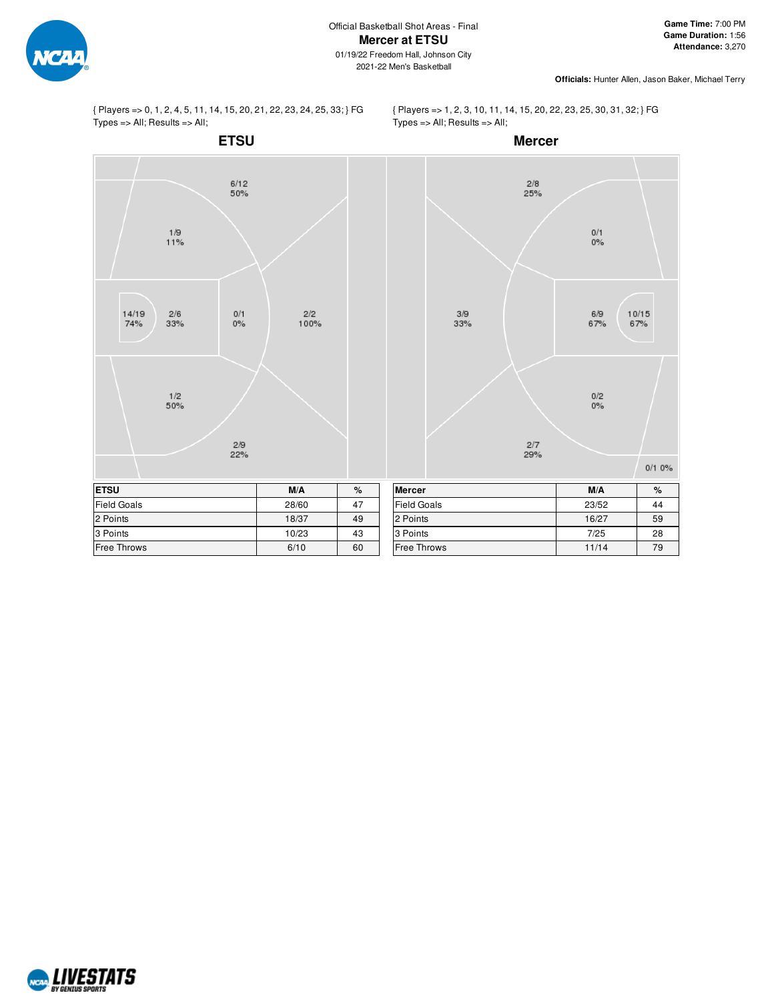

{ Players => 0, 1, 2, 4, 5, 11, 14, 15, 20, 21, 22, 23, 24, 25, 33; } FG Types => All; Results => All;

{ Players => 1, 2, 3, 10, 11, 14, 15, 20, 22, 23, 25, 30, 31, 32; } FG Types => All; Results => All;



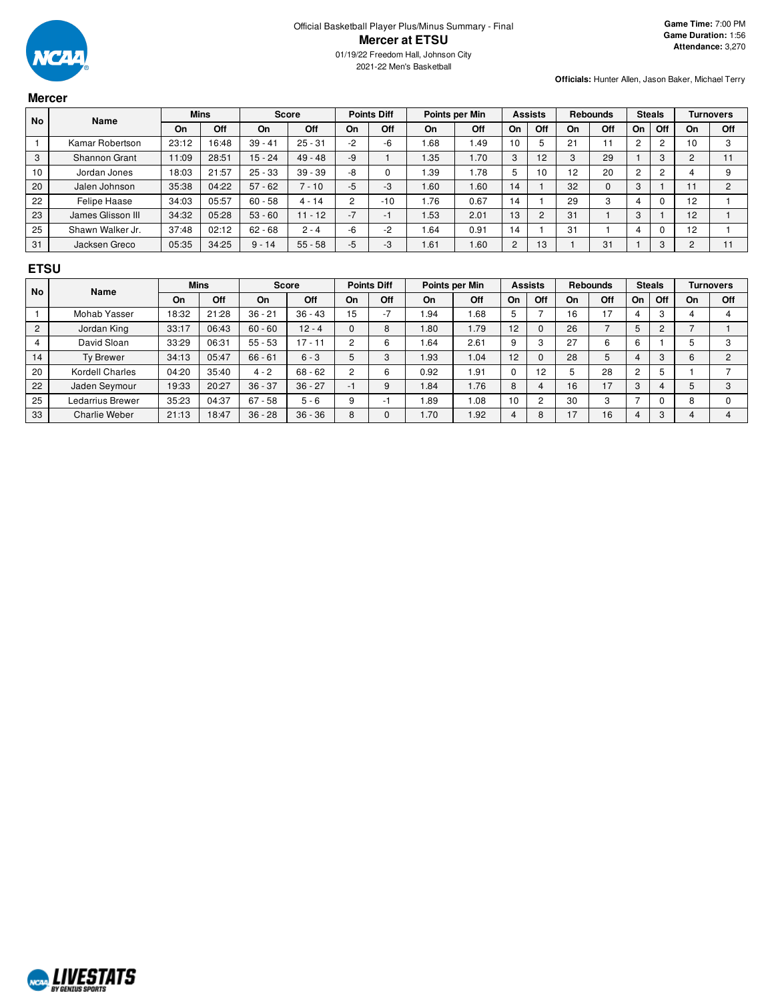

### **Mercer**

| <b>No</b> | <b>Name</b>       | <b>Mins</b> |       |           | <b>Score</b> |                | <b>Points Diff</b>       |      | Points per Min | <b>Assists</b> |                | <b>Rebounds</b> |     | <b>Steals</b>  |     | <b>Turnovers</b> |     |
|-----------|-------------------|-------------|-------|-----------|--------------|----------------|--------------------------|------|----------------|----------------|----------------|-----------------|-----|----------------|-----|------------------|-----|
|           |                   | On          | Off   | On        | Off          | On             | Off                      | On   | Off            | On             | Off            | On              | Off | On             | Off | On               | Off |
|           | Kamar Robertson   | 23:12       | 16:48 | $39 - 41$ | $25 - 31$    | $-2$           | -6                       | 1.68 | 1.49           | 10             |                | 21              | 11  | $\overline{c}$ |     | 10               | 3   |
| 3         | Shannon Grant     | 11:09       | 28:51 | $15 - 24$ | $49 - 48$    | -9             |                          | 1.35 | 1.70           | 3              | 12             | 3               | 29  |                |     |                  |     |
| 10        | Jordan Jones      | 18:03       | 21:57 | $25 - 33$ | $39 - 39$    | -8             |                          | 1.39 | 1.78           | 5              | 10             | 12              | 20  | റ              |     |                  | 9   |
| 20        | Jalen Johnson     | 35:38       | 04:22 | $57 - 62$ | $-10$        | $-5$           | $-3$                     | 1.60 | 1.60           | 14             |                | 32              | 0   | 3              |     |                  | C   |
| 22        | Felipe Haase      | 34:03       | 05:57 | $60 - 58$ | $4 - 14$     | $\overline{c}$ | $-10$                    | .76  | 0.67           | 14             |                | 29              | 3   |                |     | 12               |     |
| 23        | James Glisson III | 34:32       | 05:28 | $53 - 60$ | $11 - 12$    | $-7$           | $\overline{\phantom{0}}$ | 1.53 | 2.01           | 13             | $\overline{2}$ | 31              |     | 3              |     | 12               |     |
| 25        | Shawn Walker Jr.  | 37:48       | 02:12 | $62 - 68$ | $2 - 4$      | -6             | -2                       | .64  | 0.91           | 14             |                | 31              |     |                |     | 12               |     |
| 31        | Jacksen Greco     | 05:35       | 34:25 | $9 - 14$  | $55 - 58$    | $-5$           | -3                       | 1.61 | 1.60           | $\overline{2}$ | 13             |                 | 31  |                | 3   | C                |     |

## **ETSU**

| <b>No</b>      | <b>Name</b>      |       | <b>Mins</b> |           | <b>Score</b> |    | <b>Points Diff</b><br>Points per Min |           | <b>Assists</b> |                | <b>Rebounds</b> |    | <b>Steals</b> |    | <b>Turnovers</b> |    |     |
|----------------|------------------|-------|-------------|-----------|--------------|----|--------------------------------------|-----------|----------------|----------------|-----------------|----|---------------|----|------------------|----|-----|
|                |                  | On    | Off         | On        | Off          | On | Off                                  | <b>On</b> | Off            | On             | Off             | On | Off           | On | Off              | On | Off |
|                | Mohab Yasser     | 18:32 | 21:28       | $36 - 21$ | $36 - 43$    | 15 |                                      | .94       | 1.68           | 5              |                 | 16 | 17            |    | 3                |    |     |
| $\overline{2}$ | Jordan King      | 33:17 | 06:43       | $60 - 60$ | $12 - 4$     | 0  | 8                                    | .80       | 1.79           | 12             |                 | 26 |               |    | $\overline{c}$   |    |     |
|                | David Sloan      | 33:29 | 06:31       | $55 - 53$ | $17 - 11$    | C  | 6                                    | .64       | 2.61           | 9              |                 | 27 | 6             | 6  |                  |    |     |
| 14             | Ty Brewer        | 34:13 | 05:47       | $66 - 61$ | $6 - 3$      | 5  | 3                                    | 1.93      | 1.04           | 12             |                 | 28 | 5             |    | 3                | 6  |     |
| 20             | Kordell Charles  | 04:20 | 35:40       | $4 - 2$   | $68 - 62$    | C  | 6                                    | 0.92      | 1.91           | U              | 12              |    | 28            | റ  |                  |    |     |
| 22             | Jaden Seymour    | 19:33 | 20:27       | $36 - 37$ | $36 - 27$    | -1 |                                      | 1.84      | 1.76           | 8              |                 | 16 | 17            | 3  |                  |    |     |
| 25             | Ledarrius Brewer | 35:23 | 04:37       | $67 - 58$ | $5 - 6$      | 9  |                                      | .89       | 0.08           | 10             |                 | 30 | 3             |    |                  |    |     |
| 33             | Charlie Weber    | 21:13 | 18:47       | $36 - 28$ | $36 - 36$    | 8  |                                      | 1.70      | 1.92           | $\overline{4}$ | 8               | 17 | 16            |    | 3                |    |     |

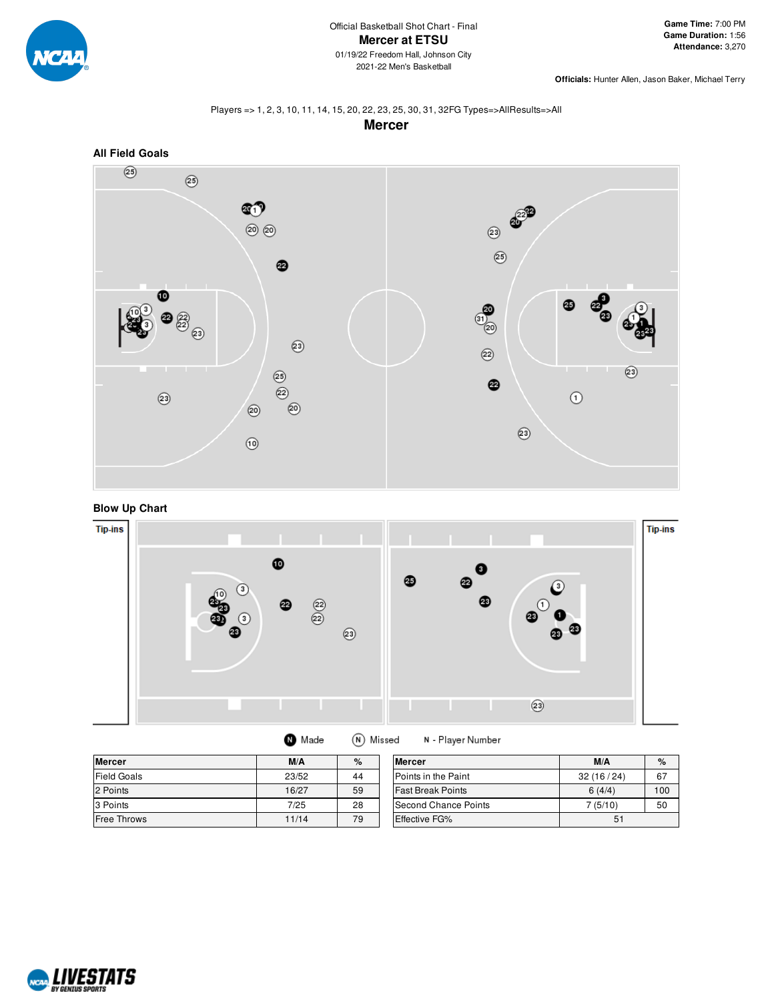

### Players => 1, 2, 3, 10, 11, 14, 15, 20, 22, 23, 25, 30, 31, 32FG Types=>AllResults=>All **Mercer**



**Blow Up Chart**



| <b>Mercer</b>      | M/A   | $\%$ | <b>Mercer</b>              | M/A       | $\%$ |
|--------------------|-------|------|----------------------------|-----------|------|
| <b>Field Goals</b> | 23/52 | 44   | <b>Points in the Paint</b> | 32(16/24) | 67   |
| 2 Points           | 16/27 | 59   | <b>Fast Break Points</b>   | 6(4/4)    | 100  |
| 3 Points           | 7/25  | 28   | Second Chance Points       | 7(5/10)   | 50   |
| Free Throws        | 11/14 | 79   | <b>Effective FG%</b>       | 51        |      |

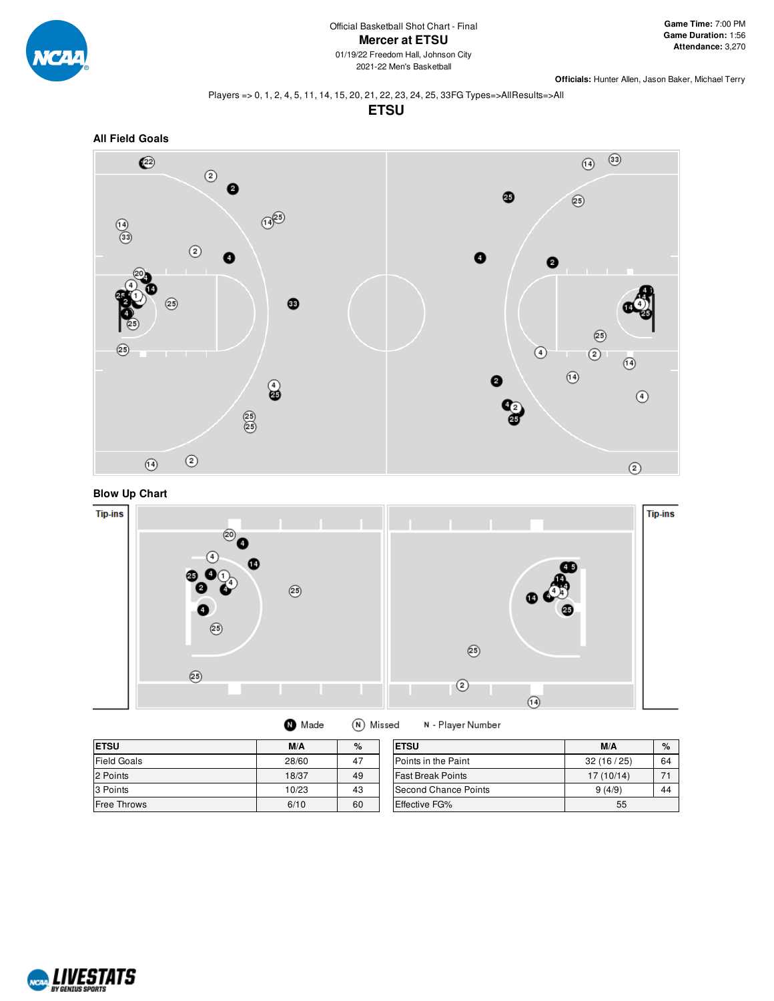

#### Players => 0, 1, 2, 4, 5, 11, 14, 15, 20, 21, 22, 23, 24, 25, 33FG Types=>AllResults=>All

**ETSU**









| Made | (N) Missed | N - Play |
|------|------------|----------|
|------|------------|----------|

| <b>ETSU</b>        | M/A   | %  | <b>ETSU</b>              | M/A       | $\%$ |
|--------------------|-------|----|--------------------------|-----------|------|
| Field Goals        | 28/60 | 47 | Points in the Paint      | 32(16/25) | 64   |
| 2 Points           | 18/37 | 49 | <b>Fast Break Points</b> | 17(10/14) |      |
| 3 Points           | 10/23 | 43 | Second Chance Points     | 9(4/9)    | 44   |
| <b>Free Throws</b> | 6/10  | 60 | Effective FG%            | 55        |      |

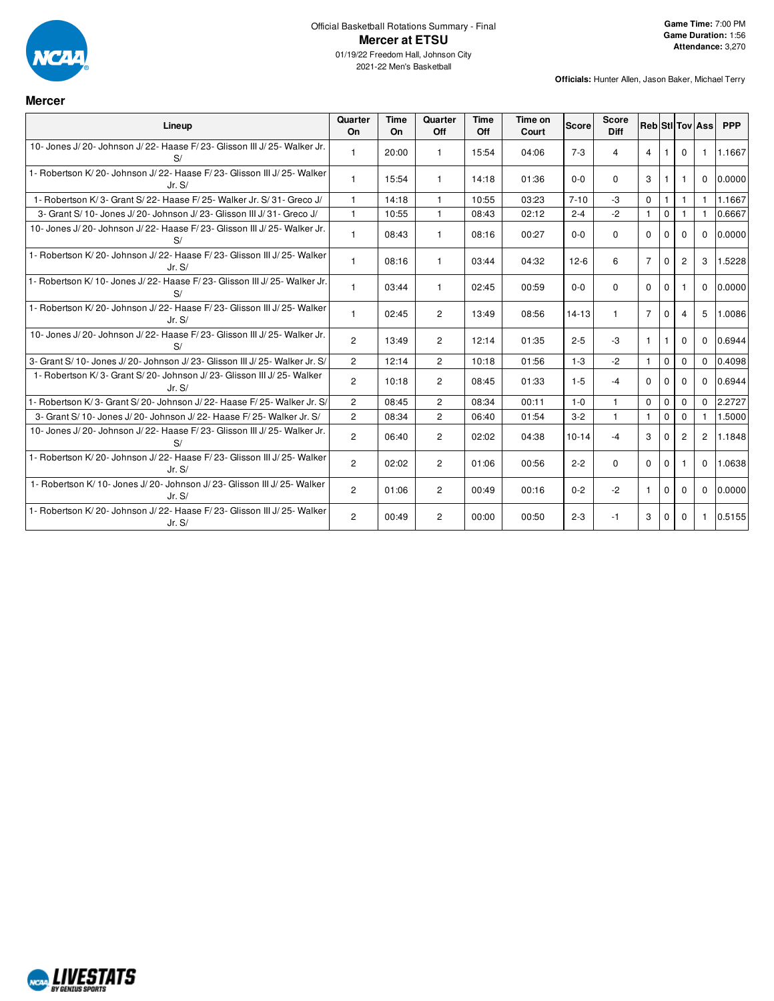

**Mercer**

| Lineup                                                                          | Quarter<br><b>On</b> | Time<br><b>On</b> | Quarter<br>Off | Time<br>Off | Time on<br>Court | <b>Score</b> | <b>Score</b><br><b>Diff</b> |                |              |                | <b>Reb StilTov Ass</b> | <b>PPP</b> |
|---------------------------------------------------------------------------------|----------------------|-------------------|----------------|-------------|------------------|--------------|-----------------------------|----------------|--------------|----------------|------------------------|------------|
| 10- Jones J/20- Johnson J/22- Haase F/23- Glisson III J/25- Walker Jr.<br>S/    | 1                    | 20:00             |                | 15:54       | 04:06            | $7 - 3$      | $\overline{4}$              | $\overline{4}$ | -1           | $\Omega$       |                        | 1.1667     |
| 1- Robertson K/20- Johnson J/22- Haase F/23- Glisson III J/25- Walker<br>Jr. S/ | $\mathbf{1}$         | 15:54             |                | 14:18       | 01:36            | $0 - 0$      | $\Omega$                    | $\mathbf{3}$   | -1           |                | $\Omega$               | 0.0000     |
| 1- Robertson K/3- Grant S/22- Haase F/25- Walker Jr. S/31- Greco J/             | $\mathbf{1}$         | 14:18             | $\mathbf{1}$   | 10:55       | 03:23            | $7 - 10$     | $-3$                        | $\Omega$       | $\mathbf{1}$ | 1              | $\mathbf{1}$           | 1.1667     |
| 3- Grant S/10- Jones J/20- Johnson J/23- Glisson III J/31- Greco J/             | $\mathbf{1}$         | 10:55             | $\mathbf{1}$   | 08:43       | 02:12            | $2 - 4$      | $-2$                        | $\mathbf{1}$   | $\Omega$     |                |                        | 0.6667     |
| 10- Jones J/20- Johnson J/22- Haase F/23- Glisson III J/25- Walker Jr.<br>S/    | 1.                   | 08:43             | 1              | 08:16       | 00:27            | $0 - 0$      | $\Omega$                    | $\Omega$       | $\Omega$     | $\Omega$       | $\Omega$               | 0.0000     |
| 1- Robertson K/20- Johnson J/22- Haase F/23- Glisson III J/25- Walker<br>Jr.S/  | $\mathbf{1}$         | 08:16             | -1             | 03:44       | 04:32            | $12-6$       | 6                           | $7^{\circ}$    | $\mathbf 0$  | $\overline{2}$ | 3                      | 1.5228     |
| 1- Robertson K/10- Jones J/22- Haase F/23- Glisson III J/25- Walker Jr.<br>S/   | 1                    | 03:44             |                | 02:45       | 00:59            | $0 - 0$      | $\Omega$                    | $\Omega$       | $\Omega$     |                | $\Omega$               | 0.0000     |
| 1- Robertson K/20- Johnson J/22- Haase F/23- Glisson III J/25- Walker<br>Jr. S/ | $\mathbf{1}$         | 02:45             | $\overline{2}$ | 13:49       | 08:56            | $14 - 13$    | 1.                          | $7^{\circ}$    | $\Omega$     | 4              | 5                      | 1.0086     |
| 10- Jones J/20- Johnson J/22- Haase F/23- Glisson III J/25- Walker Jr.<br>S/    | $\overline{2}$       | 13:49             | $\overline{2}$ | 12:14       | 01:35            | $2 - 5$      | $-3$                        | $\mathbf{1}$   | -1           | $\Omega$       | $\Omega$               | 0.6944     |
| 3- Grant S/10- Jones J/20- Johnson J/23- Glisson III J/25- Walker Jr. S/        | $\overline{2}$       | 12:14             | $\overline{2}$ | 10:18       | 01:56            | $1 - 3$      | $-2$                        | $\mathbf{1}$   | $\mathbf{0}$ | $\Omega$       | $\Omega$               | 0.4098     |
| 1- Robertson K/3- Grant S/20- Johnson J/23- Glisson III J/25- Walker<br>Jr. S/  | $\overline{2}$       | 10:18             | $\overline{c}$ | 08:45       | 01:33            | $1 - 5$      | -4                          | $\Omega$       | $\Omega$     | $\Omega$       | $\Omega$               | 0.6944     |
| 1- Robertson K/3- Grant S/20- Johnson J/22- Haase F/25- Walker Jr. S/           | $\overline{2}$       | 08:45             | $\overline{2}$ | 08:34       | 00:11            | $1 - 0$      | $\mathbf{1}$                | $\Omega$       | $\mathbf 0$  | $\Omega$       | $\Omega$               | 2.2727     |
| 3- Grant S/ 10- Jones J/ 20- Johnson J/ 22- Haase F/ 25- Walker Jr. S/          | $\overline{2}$       | 08:34             | $\overline{2}$ | 06:40       | 01:54            | $3 - 2$      | $\mathbf{1}$                |                | $\Omega$     | $\Omega$       |                        | 1.5000     |
| 10- Jones J/20- Johnson J/22- Haase F/23- Glisson III J/25- Walker Jr.<br>S/    | $\overline{c}$       | 06:40             | $\overline{c}$ | 02:02       | 04:38            | $10 - 14$    | -4                          | 3              | 0            | $\overline{2}$ | $\overline{c}$         | 1.1848     |
| 1- Robertson K/20- Johnson J/22- Haase F/23- Glisson III J/25- Walker<br>Jr.S/  | $\overline{2}$       | 02:02             | $\overline{2}$ | 01:06       | 00:56            | $2 - 2$      | $\Omega$                    | $\Omega$       | $\Omega$     |                | $\Omega$               | 1.0638     |
| 1- Robertson K/10- Jones J/20- Johnson J/23- Glisson III J/25- Walker<br>Jr. S/ | $\overline{2}$       | 01:06             | $\overline{2}$ | 00:49       | 00:16            | $0 - 2$      | $-2$                        | $\mathbf{1}$   | $\Omega$     | $\Omega$       | $\Omega$               | 0.0000     |
| 1- Robertson K/20- Johnson J/22- Haase F/23- Glisson III J/25- Walker<br>Jr. S/ | $\overline{2}$       | 00:49             | $\overline{2}$ | 00:00       | 00:50            | $2 - 3$      | -1                          | 3              | $\Omega$     | $\Omega$       | -1                     | 0.5155     |

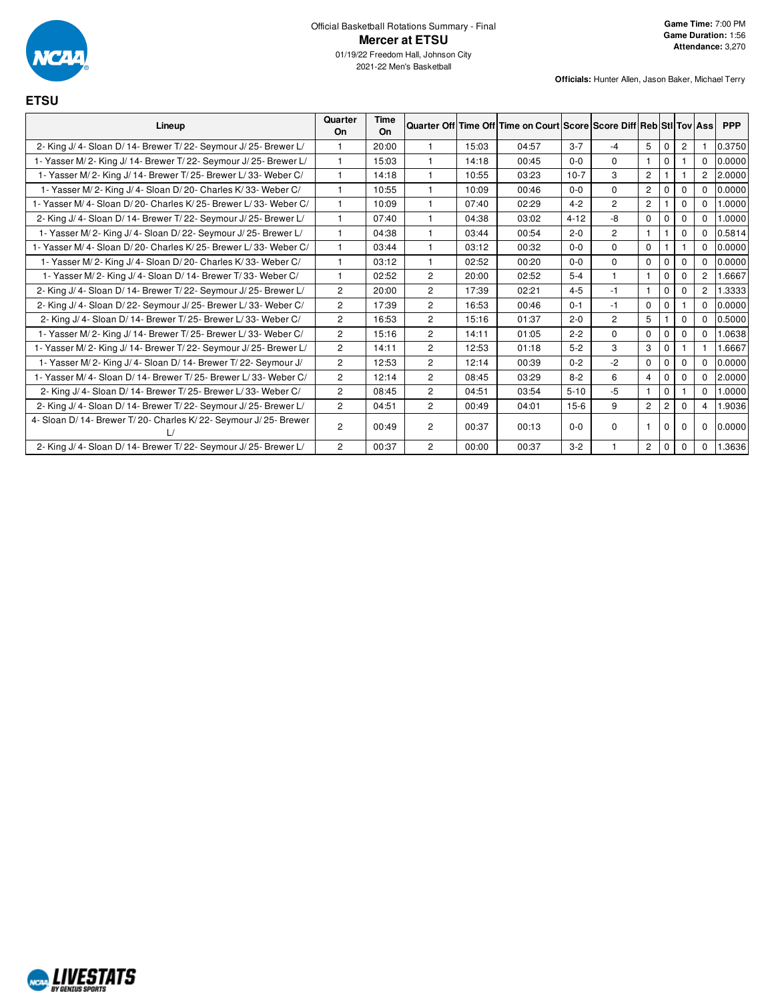

**ETSU**

| Lineup                                                             | Quarter<br>On  | <b>Time</b><br>On |                |       | Quarter Off Time Off Time on Court Score Score Diff Reb Sti Tov Ass |          |                |                |   |             |                | <b>PPP</b> |
|--------------------------------------------------------------------|----------------|-------------------|----------------|-------|---------------------------------------------------------------------|----------|----------------|----------------|---|-------------|----------------|------------|
| 2- King J/ 4- Sloan D/ 14- Brewer T/ 22- Seymour J/ 25- Brewer L/  |                | 20:00             |                | 15:03 | 04:57                                                               | $3 - 7$  | -4             | 5              | 0 | 2           |                | 0.3750     |
| 1- Yasser M/2- King J/14- Brewer T/22- Seymour J/25- Brewer L/     | $\mathbf{1}$   | 15:03             |                | 14:18 | 00:45                                                               | $0 - 0$  | $\mathbf 0$    |                | 0 |             | $\Omega$       | 0.0000     |
| 1- Yasser M/2- King J/14- Brewer T/25- Brewer L/33- Weber C/       | $\overline{1}$ | 14:18             |                | 10:55 | 03:23                                                               | $10-7$   | 3              | $\overline{2}$ |   |             | $\overline{c}$ | 2.0000     |
| 1- Yasser M/2- King J/4- Sloan D/20- Charles K/33- Weber C/        | -1             | 10:55             | 1              | 10:09 | 00:46                                                               | $0 - 0$  | $\Omega$       | $\overline{2}$ | 0 | $\Omega$    | $\Omega$       | 0.0000     |
| 1- Yasser M/4- Sloan D/20- Charles K/25- Brewer L/33- Weber C/     | $\mathbf{1}$   | 10:09             | 1              | 07:40 | 02:29                                                               | $4 - 2$  | $\overline{2}$ | $\overline{2}$ |   | 0           | 0              | 1.0000     |
| 2- King J/ 4- Sloan D/ 14- Brewer T/ 22- Seymour J/ 25- Brewer L/  | $\mathbf{1}$   | 07:40             | 1              | 04:38 | 03:02                                                               | $4 - 12$ | -8             | $\mathbf 0$    | 0 | $\mathbf 0$ | $\mathbf 0$    | 0000       |
| 1- Yasser M/2- King J/4- Sloan D/22- Seymour J/25- Brewer L/       | $\overline{1}$ | 04:38             | f              | 03:44 | 00:54                                                               | $2 - 0$  | $\overline{2}$ | $\mathbf{1}$   |   | $\Omega$    | $\Omega$       | 0.5814     |
| 1- Yasser M/ 4- Sloan D/ 20- Charles K/ 25- Brewer L/ 33- Weber C/ | $\mathbf{1}$   | 03:44             | 1              | 03:12 | 00:32                                                               | $0 - 0$  | $\Omega$       | $\mathbf 0$    |   |             | 0              | 0.0000     |
| 1- Yasser M/2- King J/4- Sloan D/20- Charles K/33- Weber C/        | 1              | 03:12             | 1              | 02:52 | 00:20                                                               | $0 - 0$  | $\mathbf 0$    | $\mathbf 0$    | 0 | $\Omega$    | $\Omega$       | 0.0000     |
| 1- Yasser M/2- King J/4- Sloan D/14- Brewer T/33- Weber C/         | $\mathbf{1}$   | 02:52             | $\overline{2}$ | 20:00 | 02:52                                                               | $5 - 4$  | $\mathbf{1}$   |                | 0 | $\Omega$    | $\overline{2}$ | .6667      |
| 2- King J/ 4- Sloan D/ 14- Brewer T/ 22- Seymour J/ 25- Brewer L/  | 2              | 20:00             | $\overline{2}$ | 17:39 | 02:21                                                               | $4 - 5$  | $-1$           |                | 0 | 0           | $\overline{2}$ | .3333      |
| 2- King J/ 4- Sloan D/ 22- Seymour J/ 25- Brewer L/ 33- Weber C/   | $\overline{2}$ | 17:39             | $\overline{2}$ | 16:53 | 00:46                                                               | $0 - 1$  | $-1$           | $\mathbf 0$    | 0 |             | 0              | 0.0000     |
| 2- King J/ 4- Sloan D/ 14- Brewer T/ 25- Brewer L/ 33- Weber C/    | 2              | 16:53             | $\overline{2}$ | 15:16 | 01:37                                                               | $2 - 0$  | $\overline{2}$ | 5              |   | $\mathbf 0$ | $\mathbf 0$    | 0.5000     |
| 1- Yasser M/2- King J/14- Brewer T/25- Brewer L/33- Weber C/       | $\overline{2}$ | 15:16             | $\overline{2}$ | 14:11 | 01:05                                                               | $2 - 2$  | $\Omega$       | $\mathbf 0$    | 0 | 0           | 0              | 0638       |
| 1- Yasser M/2- King J/14- Brewer T/22- Seymour J/25- Brewer L/     | $\overline{2}$ | 14:11             | $\overline{2}$ | 12:53 | 01:18                                                               | $5 - 2$  | 3              | 3              | 0 |             |                | .6667      |
| 1- Yasser M/2- King J/4- Sloan D/14- Brewer T/22- Seymour J/       | $\overline{c}$ | 12:53             | $\overline{c}$ | 12:14 | 00:39                                                               | $0 - 2$  | $-2$           | $\mathbf 0$    | 0 | $\Omega$    | $\Omega$       | 0.0000     |
| 1- Yasser M/4- Sloan D/14- Brewer T/25- Brewer L/33- Weber C/      | $\overline{2}$ | 12:14             | $\overline{2}$ | 08:45 | 03:29                                                               | $8 - 2$  | 6              | $\overline{4}$ | 0 | 0           | 0              | 2.0000     |
| 2- King J/ 4- Sloan D/ 14- Brewer T/ 25- Brewer L/ 33- Weber C/    | $\overline{2}$ | 08:45             | $\overline{2}$ | 04:51 | 03:54                                                               | $5 - 10$ | $-5$           |                | 0 |             | $\Omega$       | 0000.      |
| 2- King J/ 4- Sloan D/ 14- Brewer T/ 22- Seymour J/ 25- Brewer L/  | $\overline{2}$ | 04:51             | $\overline{2}$ | 00:49 | 04:01                                                               | $15-6$   | 9              | $\overline{c}$ | 2 | $\Omega$    | 4              | .9036      |
| 4- Sloan D/ 14- Brewer T/ 20- Charles K/ 22- Seymour J/ 25- Brewer | 2              | 00:49             | $\overline{2}$ | 00:37 | 00:13                                                               | $0 - 0$  | $\Omega$       | 1              | 0 | $\Omega$    | $\Omega$       | 0.0000     |
| 2- King J/ 4- Sloan D/ 14- Brewer T/ 22- Seymour J/ 25- Brewer L/  | 2              | 00:37             | $\overline{2}$ | 00:00 | 00:37                                                               | $3 - 2$  |                | 2              | 0 | 0           | 0              | .3636      |

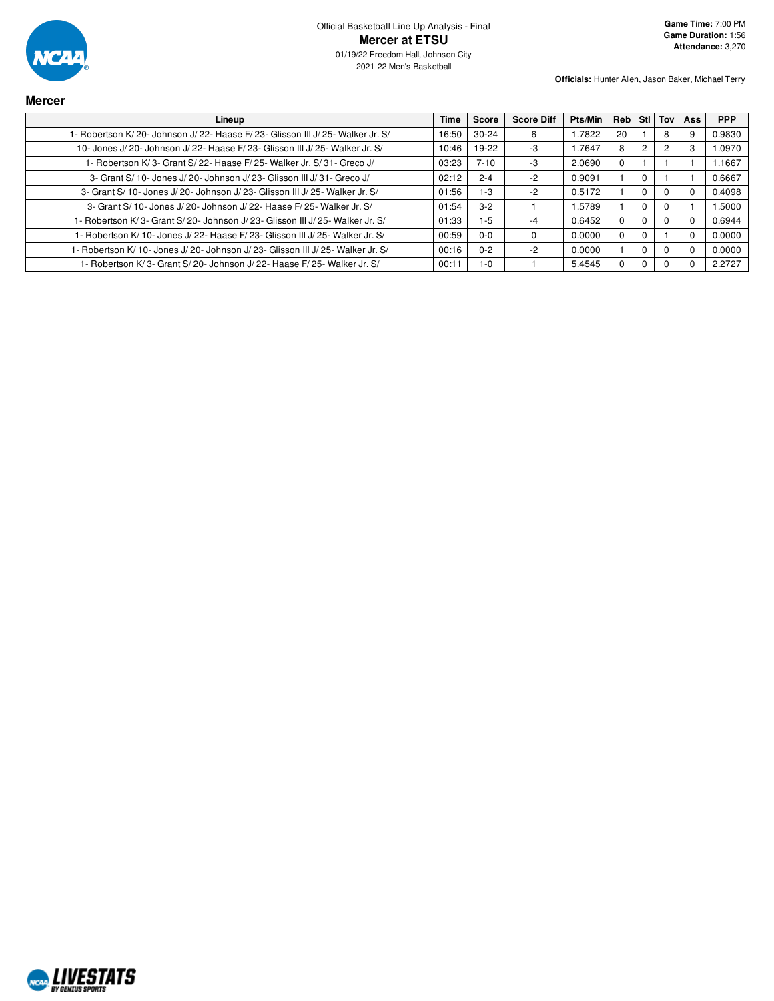

| <b>Mercer</b>                                                                    |       |           |                   |         |          |                |     |            |
|----------------------------------------------------------------------------------|-------|-----------|-------------------|---------|----------|----------------|-----|------------|
| Lineup                                                                           | Time  | Score     | <b>Score Diff</b> | Pts/Min | Reb Stl  | Tov            | Ass | <b>PPP</b> |
| 1- Robertson K/20- Johnson J/22- Haase F/23- Glisson III J/25- Walker Jr. S/     | 16:50 | $30 - 24$ | 6                 | 1.7822  | 20       | 8              |     | 0.9830     |
| 10- Jones J/20- Johnson J/22- Haase F/23- Glisson III J/25- Walker Jr. S/        | 10:46 | 19-22     | -3                | 1.7647  | 8        | $\overline{2}$ |     | 1.0970     |
| 1- Robertson K/3- Grant S/22- Haase F/25- Walker Jr. S/31- Greco J/              | 03:23 | $7 - 10$  | -3                | 2.0690  | 0        |                |     | 1.1667     |
| 3- Grant S/10- Jones J/20- Johnson J/23- Glisson III J/31- Greco J/              | 02:12 | $2 - 4$   | $-2$              | 0.9091  |          |                |     | 0.6667     |
| 3- Grant S/ 10- Jones J/ 20- Johnson J/ 23- Glisson III J/ 25- Walker Jr. S/     | 01:56 | $1-3$     | $-2$              | 0.5172  |          |                |     | 0.4098     |
| 3- Grant S/ 10- Jones J/ 20- Johnson J/ 22- Haase F/ 25- Walker Jr. S/           | 01:54 | $3-2$     |                   | 1.5789  |          |                |     | 1.5000     |
| 1- Robertson K/3- Grant S/20- Johnson J/23- Glisson III J/25- Walker Jr. S/      | 01:33 | $1-5$     | -4                | 0.6452  |          |                |     | 0.6944     |
| 1- Robertson K/10- Jones J/22- Haase F/23- Glisson III J/25- Walker Jr. S/       | 00:59 | $0-0$     | 0                 | 0.0000  | $\Omega$ |                |     | 0.0000     |
| 1- Robertson K/ 10- Jones J/ 20- Johnson J/ 23- Glisson III J/ 25- Walker Jr. S/ | 00:16 | $0 - 2$   | $-2$              | 0.0000  |          |                |     | 0.0000     |
| 1- Robertson K/ 3- Grant S/ 20- Johnson J/ 22- Haase F/ 25- Walker Jr. S/        | 00:11 | $1 - 0$   |                   | 5.4545  |          |                |     | 2.2727     |